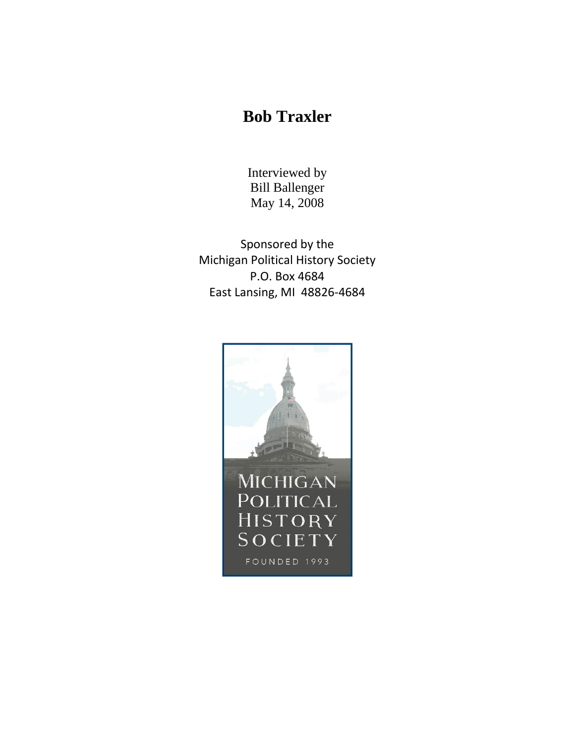## **Bob Traxler**

Interviewed by Bill Ballenger May 14, 2008

Sponsored by the Michigan Political History Society P.O. Box 4684 East Lansing, MI 48826-4684

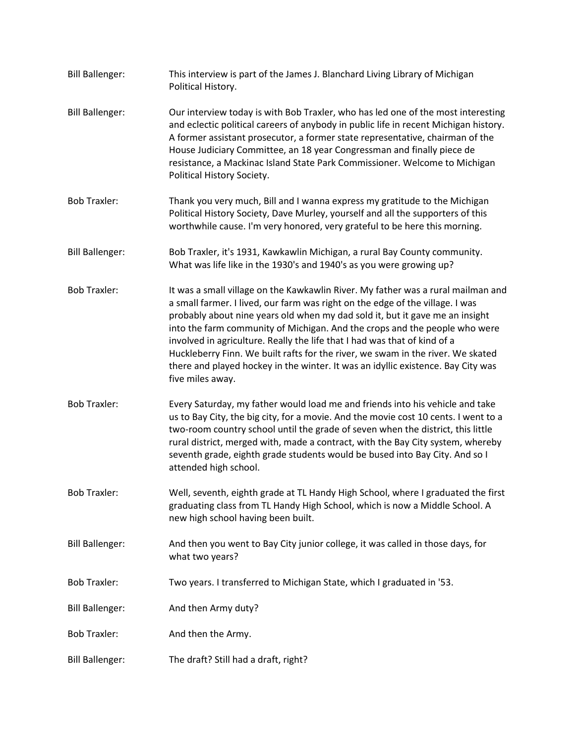| <b>Bill Ballenger:</b> | This interview is part of the James J. Blanchard Living Library of Michigan<br>Political History.                                                                                                                                                                                                                                                                                                                                                                                                                                                                                                       |
|------------------------|---------------------------------------------------------------------------------------------------------------------------------------------------------------------------------------------------------------------------------------------------------------------------------------------------------------------------------------------------------------------------------------------------------------------------------------------------------------------------------------------------------------------------------------------------------------------------------------------------------|
| <b>Bill Ballenger:</b> | Our interview today is with Bob Traxler, who has led one of the most interesting<br>and eclectic political careers of anybody in public life in recent Michigan history.<br>A former assistant prosecutor, a former state representative, chairman of the<br>House Judiciary Committee, an 18 year Congressman and finally piece de<br>resistance, a Mackinac Island State Park Commissioner. Welcome to Michigan<br>Political History Society.                                                                                                                                                         |
| <b>Bob Traxler:</b>    | Thank you very much, Bill and I wanna express my gratitude to the Michigan<br>Political History Society, Dave Murley, yourself and all the supporters of this<br>worthwhile cause. I'm very honored, very grateful to be here this morning.                                                                                                                                                                                                                                                                                                                                                             |
| <b>Bill Ballenger:</b> | Bob Traxler, it's 1931, Kawkawlin Michigan, a rural Bay County community.<br>What was life like in the 1930's and 1940's as you were growing up?                                                                                                                                                                                                                                                                                                                                                                                                                                                        |
| <b>Bob Traxler:</b>    | It was a small village on the Kawkawlin River. My father was a rural mailman and<br>a small farmer. I lived, our farm was right on the edge of the village. I was<br>probably about nine years old when my dad sold it, but it gave me an insight<br>into the farm community of Michigan. And the crops and the people who were<br>involved in agriculture. Really the life that I had was that of kind of a<br>Huckleberry Finn. We built rafts for the river, we swam in the river. We skated<br>there and played hockey in the winter. It was an idyllic existence. Bay City was<br>five miles away. |
| <b>Bob Traxler:</b>    | Every Saturday, my father would load me and friends into his vehicle and take<br>us to Bay City, the big city, for a movie. And the movie cost 10 cents. I went to a<br>two-room country school until the grade of seven when the district, this little<br>rural district, merged with, made a contract, with the Bay City system, whereby<br>seventh grade, eighth grade students would be bused into Bay City. And so I<br>attended high school.                                                                                                                                                      |
| <b>Bob Traxler:</b>    | Well, seventh, eighth grade at TL Handy High School, where I graduated the first<br>graduating class from TL Handy High School, which is now a Middle School. A<br>new high school having been built.                                                                                                                                                                                                                                                                                                                                                                                                   |
| <b>Bill Ballenger:</b> | And then you went to Bay City junior college, it was called in those days, for<br>what two years?                                                                                                                                                                                                                                                                                                                                                                                                                                                                                                       |
| <b>Bob Traxler:</b>    | Two years. I transferred to Michigan State, which I graduated in '53.                                                                                                                                                                                                                                                                                                                                                                                                                                                                                                                                   |
| <b>Bill Ballenger:</b> | And then Army duty?                                                                                                                                                                                                                                                                                                                                                                                                                                                                                                                                                                                     |
| <b>Bob Traxler:</b>    | And then the Army.                                                                                                                                                                                                                                                                                                                                                                                                                                                                                                                                                                                      |
| <b>Bill Ballenger:</b> | The draft? Still had a draft, right?                                                                                                                                                                                                                                                                                                                                                                                                                                                                                                                                                                    |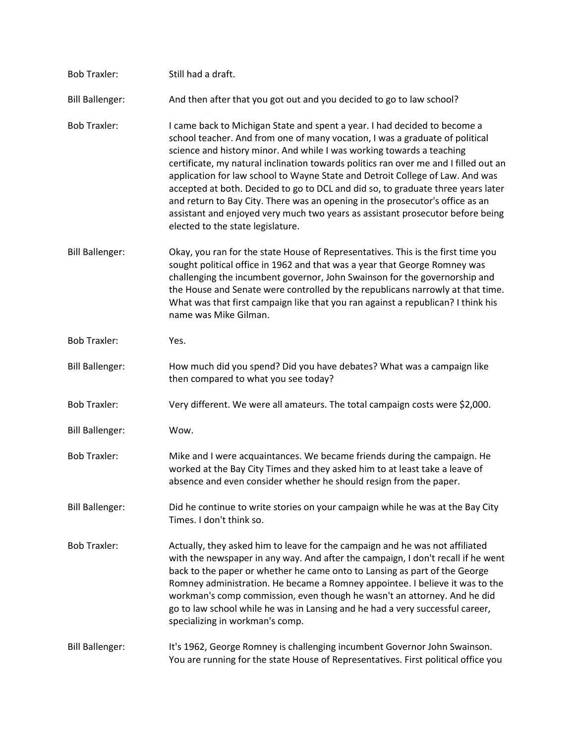| <b>Bob Traxler:</b>    | Still had a draft.                                                                                                                                                                                                                                                                                                                                                                                                                                                                                                                                                                                                                                                                                      |
|------------------------|---------------------------------------------------------------------------------------------------------------------------------------------------------------------------------------------------------------------------------------------------------------------------------------------------------------------------------------------------------------------------------------------------------------------------------------------------------------------------------------------------------------------------------------------------------------------------------------------------------------------------------------------------------------------------------------------------------|
| <b>Bill Ballenger:</b> | And then after that you got out and you decided to go to law school?                                                                                                                                                                                                                                                                                                                                                                                                                                                                                                                                                                                                                                    |
| <b>Bob Traxler:</b>    | I came back to Michigan State and spent a year. I had decided to become a<br>school teacher. And from one of many vocation, I was a graduate of political<br>science and history minor. And while I was working towards a teaching<br>certificate, my natural inclination towards politics ran over me and I filled out an<br>application for law school to Wayne State and Detroit College of Law. And was<br>accepted at both. Decided to go to DCL and did so, to graduate three years later<br>and return to Bay City. There was an opening in the prosecutor's office as an<br>assistant and enjoyed very much two years as assistant prosecutor before being<br>elected to the state legislature. |
| <b>Bill Ballenger:</b> | Okay, you ran for the state House of Representatives. This is the first time you<br>sought political office in 1962 and that was a year that George Romney was<br>challenging the incumbent governor, John Swainson for the governorship and<br>the House and Senate were controlled by the republicans narrowly at that time.<br>What was that first campaign like that you ran against a republican? I think his<br>name was Mike Gilman.                                                                                                                                                                                                                                                             |
| <b>Bob Traxler:</b>    | Yes.                                                                                                                                                                                                                                                                                                                                                                                                                                                                                                                                                                                                                                                                                                    |
| <b>Bill Ballenger:</b> | How much did you spend? Did you have debates? What was a campaign like<br>then compared to what you see today?                                                                                                                                                                                                                                                                                                                                                                                                                                                                                                                                                                                          |
| <b>Bob Traxler:</b>    | Very different. We were all amateurs. The total campaign costs were \$2,000.                                                                                                                                                                                                                                                                                                                                                                                                                                                                                                                                                                                                                            |
| <b>Bill Ballenger:</b> | Wow.                                                                                                                                                                                                                                                                                                                                                                                                                                                                                                                                                                                                                                                                                                    |
| <b>Bob Traxler:</b>    | Mike and I were acquaintances. We became friends during the campaign. He<br>worked at the Bay City Times and they asked him to at least take a leave of<br>absence and even consider whether he should resign from the paper.                                                                                                                                                                                                                                                                                                                                                                                                                                                                           |
| <b>Bill Ballenger:</b> | Did he continue to write stories on your campaign while he was at the Bay City<br>Times. I don't think so.                                                                                                                                                                                                                                                                                                                                                                                                                                                                                                                                                                                              |
| <b>Bob Traxler:</b>    | Actually, they asked him to leave for the campaign and he was not affiliated<br>with the newspaper in any way. And after the campaign, I don't recall if he went<br>back to the paper or whether he came onto to Lansing as part of the George<br>Romney administration. He became a Romney appointee. I believe it was to the<br>workman's comp commission, even though he wasn't an attorney. And he did<br>go to law school while he was in Lansing and he had a very successful career,<br>specializing in workman's comp.                                                                                                                                                                          |
| <b>Bill Ballenger:</b> | It's 1962, George Romney is challenging incumbent Governor John Swainson.<br>You are running for the state House of Representatives. First political office you                                                                                                                                                                                                                                                                                                                                                                                                                                                                                                                                         |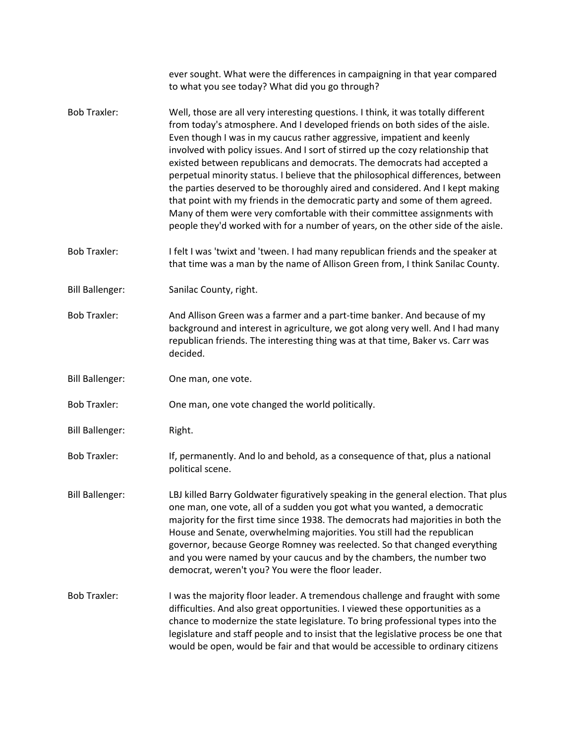|                        | ever sought. What were the differences in campaigning in that year compared<br>to what you see today? What did you go through?                                                                                                                                                                                                                                                                                                                                                                                                                                                                                                                                                                                                                                                                                                 |
|------------------------|--------------------------------------------------------------------------------------------------------------------------------------------------------------------------------------------------------------------------------------------------------------------------------------------------------------------------------------------------------------------------------------------------------------------------------------------------------------------------------------------------------------------------------------------------------------------------------------------------------------------------------------------------------------------------------------------------------------------------------------------------------------------------------------------------------------------------------|
| <b>Bob Traxler:</b>    | Well, those are all very interesting questions. I think, it was totally different<br>from today's atmosphere. And I developed friends on both sides of the aisle.<br>Even though I was in my caucus rather aggressive, impatient and keenly<br>involved with policy issues. And I sort of stirred up the cozy relationship that<br>existed between republicans and democrats. The democrats had accepted a<br>perpetual minority status. I believe that the philosophical differences, between<br>the parties deserved to be thoroughly aired and considered. And I kept making<br>that point with my friends in the democratic party and some of them agreed.<br>Many of them were very comfortable with their committee assignments with<br>people they'd worked with for a number of years, on the other side of the aisle. |
| <b>Bob Traxler:</b>    | I felt I was 'twixt and 'tween. I had many republican friends and the speaker at<br>that time was a man by the name of Allison Green from, I think Sanilac County.                                                                                                                                                                                                                                                                                                                                                                                                                                                                                                                                                                                                                                                             |
| <b>Bill Ballenger:</b> | Sanilac County, right.                                                                                                                                                                                                                                                                                                                                                                                                                                                                                                                                                                                                                                                                                                                                                                                                         |
| <b>Bob Traxler:</b>    | And Allison Green was a farmer and a part-time banker. And because of my<br>background and interest in agriculture, we got along very well. And I had many<br>republican friends. The interesting thing was at that time, Baker vs. Carr was<br>decided.                                                                                                                                                                                                                                                                                                                                                                                                                                                                                                                                                                       |
| <b>Bill Ballenger:</b> | One man, one vote.                                                                                                                                                                                                                                                                                                                                                                                                                                                                                                                                                                                                                                                                                                                                                                                                             |
| <b>Bob Traxler:</b>    | One man, one vote changed the world politically.                                                                                                                                                                                                                                                                                                                                                                                                                                                                                                                                                                                                                                                                                                                                                                               |
| <b>Bill Ballenger:</b> | Right.                                                                                                                                                                                                                                                                                                                                                                                                                                                                                                                                                                                                                                                                                                                                                                                                                         |
| <b>Bob Traxler:</b>    | If, permanently. And lo and behold, as a consequence of that, plus a national<br>political scene.                                                                                                                                                                                                                                                                                                                                                                                                                                                                                                                                                                                                                                                                                                                              |
| <b>Bill Ballenger:</b> | LBJ killed Barry Goldwater figuratively speaking in the general election. That plus<br>one man, one vote, all of a sudden you got what you wanted, a democratic<br>majority for the first time since 1938. The democrats had majorities in both the<br>House and Senate, overwhelming majorities. You still had the republican<br>governor, because George Romney was reelected. So that changed everything<br>and you were named by your caucus and by the chambers, the number two<br>democrat, weren't you? You were the floor leader.                                                                                                                                                                                                                                                                                      |
| <b>Bob Traxler:</b>    | I was the majority floor leader. A tremendous challenge and fraught with some<br>difficulties. And also great opportunities. I viewed these opportunities as a<br>chance to modernize the state legislature. To bring professional types into the<br>legislature and staff people and to insist that the legislative process be one that<br>would be open, would be fair and that would be accessible to ordinary citizens                                                                                                                                                                                                                                                                                                                                                                                                     |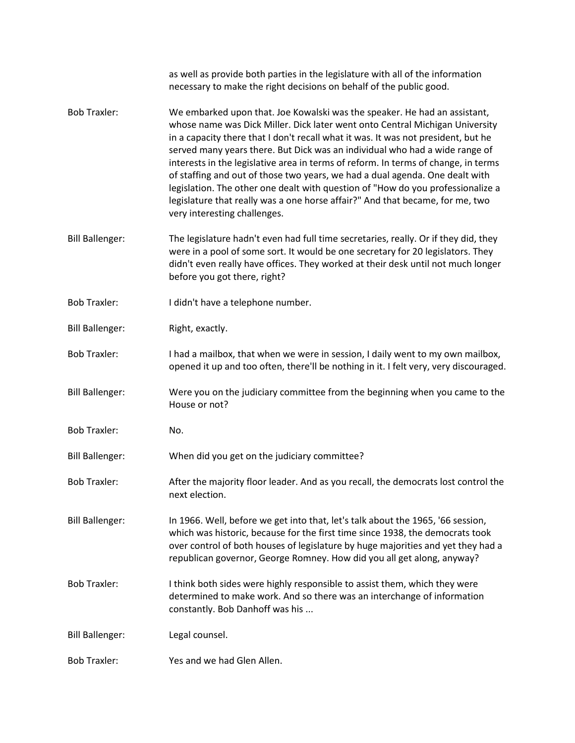|                        | as well as provide both parties in the legislature with all of the information<br>necessary to make the right decisions on behalf of the public good.                                                                                                                                                                                                                                                                                                                                                                                                                                                                                                                                                   |
|------------------------|---------------------------------------------------------------------------------------------------------------------------------------------------------------------------------------------------------------------------------------------------------------------------------------------------------------------------------------------------------------------------------------------------------------------------------------------------------------------------------------------------------------------------------------------------------------------------------------------------------------------------------------------------------------------------------------------------------|
| <b>Bob Traxler:</b>    | We embarked upon that. Joe Kowalski was the speaker. He had an assistant,<br>whose name was Dick Miller. Dick later went onto Central Michigan University<br>in a capacity there that I don't recall what it was. It was not president, but he<br>served many years there. But Dick was an individual who had a wide range of<br>interests in the legislative area in terms of reform. In terms of change, in terms<br>of staffing and out of those two years, we had a dual agenda. One dealt with<br>legislation. The other one dealt with question of "How do you professionalize a<br>legislature that really was a one horse affair?" And that became, for me, two<br>very interesting challenges. |
| <b>Bill Ballenger:</b> | The legislature hadn't even had full time secretaries, really. Or if they did, they<br>were in a pool of some sort. It would be one secretary for 20 legislators. They<br>didn't even really have offices. They worked at their desk until not much longer<br>before you got there, right?                                                                                                                                                                                                                                                                                                                                                                                                              |
| <b>Bob Traxler:</b>    | I didn't have a telephone number.                                                                                                                                                                                                                                                                                                                                                                                                                                                                                                                                                                                                                                                                       |
| <b>Bill Ballenger:</b> | Right, exactly.                                                                                                                                                                                                                                                                                                                                                                                                                                                                                                                                                                                                                                                                                         |
| <b>Bob Traxler:</b>    | I had a mailbox, that when we were in session, I daily went to my own mailbox,<br>opened it up and too often, there'll be nothing in it. I felt very, very discouraged.                                                                                                                                                                                                                                                                                                                                                                                                                                                                                                                                 |
| <b>Bill Ballenger:</b> | Were you on the judiciary committee from the beginning when you came to the<br>House or not?                                                                                                                                                                                                                                                                                                                                                                                                                                                                                                                                                                                                            |
| <b>Bob Traxler:</b>    | No.                                                                                                                                                                                                                                                                                                                                                                                                                                                                                                                                                                                                                                                                                                     |
| <b>Bill Ballenger:</b> | When did you get on the judiciary committee?                                                                                                                                                                                                                                                                                                                                                                                                                                                                                                                                                                                                                                                            |
| <b>Bob Traxler:</b>    | After the majority floor leader. And as you recall, the democrats lost control the<br>next election.                                                                                                                                                                                                                                                                                                                                                                                                                                                                                                                                                                                                    |
| <b>Bill Ballenger:</b> | In 1966. Well, before we get into that, let's talk about the 1965, '66 session,<br>which was historic, because for the first time since 1938, the democrats took<br>over control of both houses of legislature by huge majorities and yet they had a<br>republican governor, George Romney. How did you all get along, anyway?                                                                                                                                                                                                                                                                                                                                                                          |
| <b>Bob Traxler:</b>    | I think both sides were highly responsible to assist them, which they were<br>determined to make work. And so there was an interchange of information<br>constantly. Bob Danhoff was his                                                                                                                                                                                                                                                                                                                                                                                                                                                                                                                |
| <b>Bill Ballenger:</b> | Legal counsel.                                                                                                                                                                                                                                                                                                                                                                                                                                                                                                                                                                                                                                                                                          |
| <b>Bob Traxler:</b>    | Yes and we had Glen Allen.                                                                                                                                                                                                                                                                                                                                                                                                                                                                                                                                                                                                                                                                              |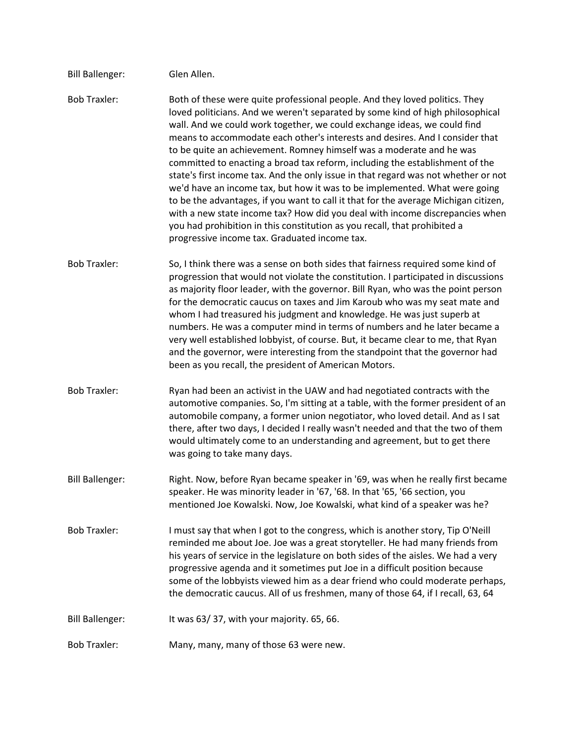| <b>Bill Ballenger:</b> | Glen Allen.                                                                                                                                                                                                                                                                                                                                                                                                                                                                                                                                                                                                                                                                                                                                                                                                                                                                                                                                                |
|------------------------|------------------------------------------------------------------------------------------------------------------------------------------------------------------------------------------------------------------------------------------------------------------------------------------------------------------------------------------------------------------------------------------------------------------------------------------------------------------------------------------------------------------------------------------------------------------------------------------------------------------------------------------------------------------------------------------------------------------------------------------------------------------------------------------------------------------------------------------------------------------------------------------------------------------------------------------------------------|
| <b>Bob Traxler:</b>    | Both of these were quite professional people. And they loved politics. They<br>loved politicians. And we weren't separated by some kind of high philosophical<br>wall. And we could work together, we could exchange ideas, we could find<br>means to accommodate each other's interests and desires. And I consider that<br>to be quite an achievement. Romney himself was a moderate and he was<br>committed to enacting a broad tax reform, including the establishment of the<br>state's first income tax. And the only issue in that regard was not whether or not<br>we'd have an income tax, but how it was to be implemented. What were going<br>to be the advantages, if you want to call it that for the average Michigan citizen,<br>with a new state income tax? How did you deal with income discrepancies when<br>you had prohibition in this constitution as you recall, that prohibited a<br>progressive income tax. Graduated income tax. |
| <b>Bob Traxler:</b>    | So, I think there was a sense on both sides that fairness required some kind of<br>progression that would not violate the constitution. I participated in discussions<br>as majority floor leader, with the governor. Bill Ryan, who was the point person<br>for the democratic caucus on taxes and Jim Karoub who was my seat mate and<br>whom I had treasured his judgment and knowledge. He was just superb at<br>numbers. He was a computer mind in terms of numbers and he later became a<br>very well established lobbyist, of course. But, it became clear to me, that Ryan<br>and the governor, were interesting from the standpoint that the governor had<br>been as you recall, the president of American Motors.                                                                                                                                                                                                                                |
| <b>Bob Traxler:</b>    | Ryan had been an activist in the UAW and had negotiated contracts with the<br>automotive companies. So, I'm sitting at a table, with the former president of an<br>automobile company, a former union negotiator, who loved detail. And as I sat<br>there, after two days, I decided I really wasn't needed and that the two of them<br>would ultimately come to an understanding and agreement, but to get there<br>was going to take many days.                                                                                                                                                                                                                                                                                                                                                                                                                                                                                                          |
| <b>Bill Ballenger:</b> | Right. Now, before Ryan became speaker in '69, was when he really first became<br>speaker. He was minority leader in '67, '68. In that '65, '66 section, you<br>mentioned Joe Kowalski. Now, Joe Kowalski, what kind of a speaker was he?                                                                                                                                                                                                                                                                                                                                                                                                                                                                                                                                                                                                                                                                                                                  |
| <b>Bob Traxler:</b>    | I must say that when I got to the congress, which is another story, Tip O'Neill<br>reminded me about Joe. Joe was a great storyteller. He had many friends from<br>his years of service in the legislature on both sides of the aisles. We had a very<br>progressive agenda and it sometimes put Joe in a difficult position because<br>some of the lobbyists viewed him as a dear friend who could moderate perhaps,<br>the democratic caucus. All of us freshmen, many of those 64, if I recall, 63, 64                                                                                                                                                                                                                                                                                                                                                                                                                                                  |
| <b>Bill Ballenger:</b> | It was 63/37, with your majority. 65, 66.                                                                                                                                                                                                                                                                                                                                                                                                                                                                                                                                                                                                                                                                                                                                                                                                                                                                                                                  |
| <b>Bob Traxler:</b>    | Many, many, many of those 63 were new.                                                                                                                                                                                                                                                                                                                                                                                                                                                                                                                                                                                                                                                                                                                                                                                                                                                                                                                     |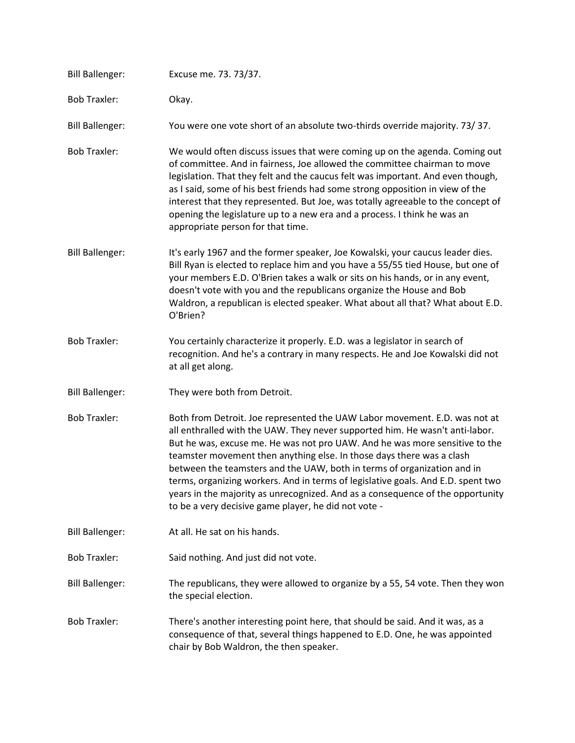| <b>Bill Ballenger:</b> | Excuse me. 73. 73/37.                                                                                                                                                                                                                                                                                                                                                                                                                                                                                                                                                                                                       |
|------------------------|-----------------------------------------------------------------------------------------------------------------------------------------------------------------------------------------------------------------------------------------------------------------------------------------------------------------------------------------------------------------------------------------------------------------------------------------------------------------------------------------------------------------------------------------------------------------------------------------------------------------------------|
| <b>Bob Traxler:</b>    | Okay.                                                                                                                                                                                                                                                                                                                                                                                                                                                                                                                                                                                                                       |
| <b>Bill Ballenger:</b> | You were one vote short of an absolute two-thirds override majority. 73/37.                                                                                                                                                                                                                                                                                                                                                                                                                                                                                                                                                 |
| <b>Bob Traxler:</b>    | We would often discuss issues that were coming up on the agenda. Coming out<br>of committee. And in fairness, Joe allowed the committee chairman to move<br>legislation. That they felt and the caucus felt was important. And even though,<br>as I said, some of his best friends had some strong opposition in view of the<br>interest that they represented. But Joe, was totally agreeable to the concept of<br>opening the legislature up to a new era and a process. I think he was an<br>appropriate person for that time.                                                                                           |
| <b>Bill Ballenger:</b> | It's early 1967 and the former speaker, Joe Kowalski, your caucus leader dies.<br>Bill Ryan is elected to replace him and you have a 55/55 tied House, but one of<br>your members E.D. O'Brien takes a walk or sits on his hands, or in any event,<br>doesn't vote with you and the republicans organize the House and Bob<br>Waldron, a republican is elected speaker. What about all that? What about E.D.<br>O'Brien?                                                                                                                                                                                                    |
| <b>Bob Traxler:</b>    | You certainly characterize it properly. E.D. was a legislator in search of<br>recognition. And he's a contrary in many respects. He and Joe Kowalski did not<br>at all get along.                                                                                                                                                                                                                                                                                                                                                                                                                                           |
| <b>Bill Ballenger:</b> | They were both from Detroit.                                                                                                                                                                                                                                                                                                                                                                                                                                                                                                                                                                                                |
| <b>Bob Traxler:</b>    | Both from Detroit. Joe represented the UAW Labor movement. E.D. was not at<br>all enthralled with the UAW. They never supported him. He wasn't anti-labor.<br>But he was, excuse me. He was not pro UAW. And he was more sensitive to the<br>teamster movement then anything else. In those days there was a clash<br>between the teamsters and the UAW, both in terms of organization and in<br>terms, organizing workers. And in terms of legislative goals. And E.D. spent two<br>years in the majority as unrecognized. And as a consequence of the opportunity<br>to be a very decisive game player, he did not vote - |
| <b>Bill Ballenger:</b> | At all. He sat on his hands.                                                                                                                                                                                                                                                                                                                                                                                                                                                                                                                                                                                                |
| <b>Bob Traxler:</b>    | Said nothing. And just did not vote.                                                                                                                                                                                                                                                                                                                                                                                                                                                                                                                                                                                        |
| <b>Bill Ballenger:</b> | The republicans, they were allowed to organize by a 55, 54 vote. Then they won<br>the special election.                                                                                                                                                                                                                                                                                                                                                                                                                                                                                                                     |
| <b>Bob Traxler:</b>    | There's another interesting point here, that should be said. And it was, as a<br>consequence of that, several things happened to E.D. One, he was appointed<br>chair by Bob Waldron, the then speaker.                                                                                                                                                                                                                                                                                                                                                                                                                      |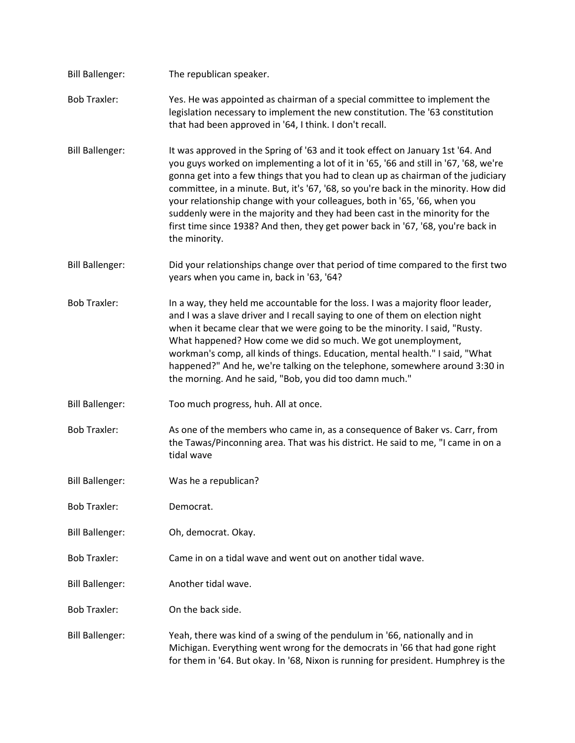| <b>Bill Ballenger:</b> | The republican speaker.                                                                                                                                                                                                                                                                                                                                                                                                                                                                                                                                                                                               |
|------------------------|-----------------------------------------------------------------------------------------------------------------------------------------------------------------------------------------------------------------------------------------------------------------------------------------------------------------------------------------------------------------------------------------------------------------------------------------------------------------------------------------------------------------------------------------------------------------------------------------------------------------------|
| <b>Bob Traxler:</b>    | Yes. He was appointed as chairman of a special committee to implement the<br>legislation necessary to implement the new constitution. The '63 constitution<br>that had been approved in '64, I think. I don't recall.                                                                                                                                                                                                                                                                                                                                                                                                 |
| <b>Bill Ballenger:</b> | It was approved in the Spring of '63 and it took effect on January 1st '64. And<br>you guys worked on implementing a lot of it in '65, '66 and still in '67, '68, we're<br>gonna get into a few things that you had to clean up as chairman of the judiciary<br>committee, in a minute. But, it's '67, '68, so you're back in the minority. How did<br>your relationship change with your colleagues, both in '65, '66, when you<br>suddenly were in the majority and they had been cast in the minority for the<br>first time since 1938? And then, they get power back in '67, '68, you're back in<br>the minority. |
| <b>Bill Ballenger:</b> | Did your relationships change over that period of time compared to the first two<br>years when you came in, back in '63, '64?                                                                                                                                                                                                                                                                                                                                                                                                                                                                                         |
| <b>Bob Traxler:</b>    | In a way, they held me accountable for the loss. I was a majority floor leader,<br>and I was a slave driver and I recall saying to one of them on election night<br>when it became clear that we were going to be the minority. I said, "Rusty.<br>What happened? How come we did so much. We got unemployment,<br>workman's comp, all kinds of things. Education, mental health." I said, "What<br>happened?" And he, we're talking on the telephone, somewhere around 3:30 in<br>the morning. And he said, "Bob, you did too damn much."                                                                            |
| <b>Bill Ballenger:</b> | Too much progress, huh. All at once.                                                                                                                                                                                                                                                                                                                                                                                                                                                                                                                                                                                  |
| <b>Bob Traxler:</b>    | As one of the members who came in, as a consequence of Baker vs. Carr, from<br>the Tawas/Pinconning area. That was his district. He said to me, "I came in on a<br>tidal wave                                                                                                                                                                                                                                                                                                                                                                                                                                         |
| <b>Bill Ballenger:</b> | Was he a republican?                                                                                                                                                                                                                                                                                                                                                                                                                                                                                                                                                                                                  |
| <b>Bob Traxler:</b>    | Democrat.                                                                                                                                                                                                                                                                                                                                                                                                                                                                                                                                                                                                             |
| <b>Bill Ballenger:</b> | Oh, democrat. Okay.                                                                                                                                                                                                                                                                                                                                                                                                                                                                                                                                                                                                   |
| <b>Bob Traxler:</b>    | Came in on a tidal wave and went out on another tidal wave.                                                                                                                                                                                                                                                                                                                                                                                                                                                                                                                                                           |
| <b>Bill Ballenger:</b> | Another tidal wave.                                                                                                                                                                                                                                                                                                                                                                                                                                                                                                                                                                                                   |
| <b>Bob Traxler:</b>    | On the back side.                                                                                                                                                                                                                                                                                                                                                                                                                                                                                                                                                                                                     |
| <b>Bill Ballenger:</b> | Yeah, there was kind of a swing of the pendulum in '66, nationally and in<br>Michigan. Everything went wrong for the democrats in '66 that had gone right<br>for them in '64. But okay. In '68, Nixon is running for president. Humphrey is the                                                                                                                                                                                                                                                                                                                                                                       |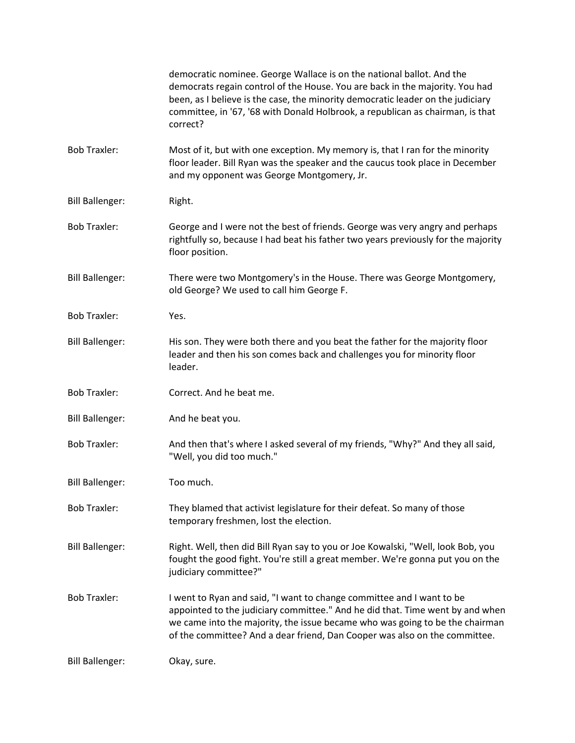|                        | democratic nominee. George Wallace is on the national ballot. And the<br>democrats regain control of the House. You are back in the majority. You had<br>been, as I believe is the case, the minority democratic leader on the judiciary<br>committee, in '67, '68 with Donald Holbrook, a republican as chairman, is that<br>correct? |
|------------------------|----------------------------------------------------------------------------------------------------------------------------------------------------------------------------------------------------------------------------------------------------------------------------------------------------------------------------------------|
| <b>Bob Traxler:</b>    | Most of it, but with one exception. My memory is, that I ran for the minority<br>floor leader. Bill Ryan was the speaker and the caucus took place in December<br>and my opponent was George Montgomery, Jr.                                                                                                                           |
| <b>Bill Ballenger:</b> | Right.                                                                                                                                                                                                                                                                                                                                 |
| <b>Bob Traxler:</b>    | George and I were not the best of friends. George was very angry and perhaps<br>rightfully so, because I had beat his father two years previously for the majority<br>floor position.                                                                                                                                                  |
| <b>Bill Ballenger:</b> | There were two Montgomery's in the House. There was George Montgomery,<br>old George? We used to call him George F.                                                                                                                                                                                                                    |
| <b>Bob Traxler:</b>    | Yes.                                                                                                                                                                                                                                                                                                                                   |
| <b>Bill Ballenger:</b> | His son. They were both there and you beat the father for the majority floor<br>leader and then his son comes back and challenges you for minority floor<br>leader.                                                                                                                                                                    |
| <b>Bob Traxler:</b>    | Correct. And he beat me.                                                                                                                                                                                                                                                                                                               |
| <b>Bill Ballenger:</b> | And he beat you.                                                                                                                                                                                                                                                                                                                       |
| <b>Bob Traxler:</b>    | And then that's where I asked several of my friends, "Why?" And they all said,<br>"Well, you did too much."                                                                                                                                                                                                                            |
| <b>Bill Ballenger:</b> | Too much.                                                                                                                                                                                                                                                                                                                              |
| <b>Bob Traxler:</b>    | They blamed that activist legislature for their defeat. So many of those<br>temporary freshmen, lost the election.                                                                                                                                                                                                                     |
| <b>Bill Ballenger:</b> | Right. Well, then did Bill Ryan say to you or Joe Kowalski, "Well, look Bob, you<br>fought the good fight. You're still a great member. We're gonna put you on the<br>judiciary committee?"                                                                                                                                            |
| <b>Bob Traxler:</b>    | I went to Ryan and said, "I want to change committee and I want to be<br>appointed to the judiciary committee." And he did that. Time went by and when<br>we came into the majority, the issue became who was going to be the chairman<br>of the committee? And a dear friend, Dan Cooper was also on the committee.                   |
| <b>Bill Ballenger:</b> | Okay, sure.                                                                                                                                                                                                                                                                                                                            |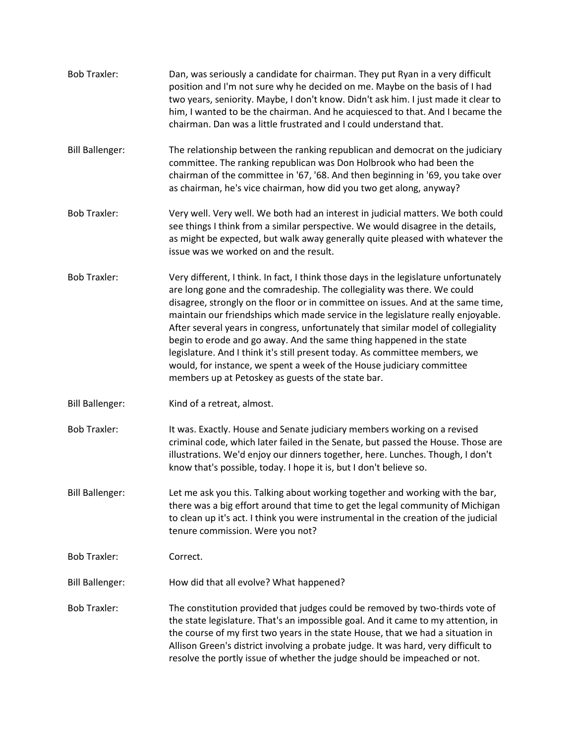| <b>Bob Traxler:</b>    | Dan, was seriously a candidate for chairman. They put Ryan in a very difficult<br>position and I'm not sure why he decided on me. Maybe on the basis of I had<br>two years, seniority. Maybe, I don't know. Didn't ask him. I just made it clear to<br>him, I wanted to be the chairman. And he acquiesced to that. And I became the<br>chairman. Dan was a little frustrated and I could understand that.                                                                                                                                                                                                                                                                                                          |
|------------------------|---------------------------------------------------------------------------------------------------------------------------------------------------------------------------------------------------------------------------------------------------------------------------------------------------------------------------------------------------------------------------------------------------------------------------------------------------------------------------------------------------------------------------------------------------------------------------------------------------------------------------------------------------------------------------------------------------------------------|
| <b>Bill Ballenger:</b> | The relationship between the ranking republican and democrat on the judiciary<br>committee. The ranking republican was Don Holbrook who had been the<br>chairman of the committee in '67, '68. And then beginning in '69, you take over<br>as chairman, he's vice chairman, how did you two get along, anyway?                                                                                                                                                                                                                                                                                                                                                                                                      |
| <b>Bob Traxler:</b>    | Very well. Very well. We both had an interest in judicial matters. We both could<br>see things I think from a similar perspective. We would disagree in the details,<br>as might be expected, but walk away generally quite pleased with whatever the<br>issue was we worked on and the result.                                                                                                                                                                                                                                                                                                                                                                                                                     |
| <b>Bob Traxler:</b>    | Very different, I think. In fact, I think those days in the legislature unfortunately<br>are long gone and the comradeship. The collegiality was there. We could<br>disagree, strongly on the floor or in committee on issues. And at the same time,<br>maintain our friendships which made service in the legislature really enjoyable.<br>After several years in congress, unfortunately that similar model of collegiality<br>begin to erode and go away. And the same thing happened in the state<br>legislature. And I think it's still present today. As committee members, we<br>would, for instance, we spent a week of the House judiciary committee<br>members up at Petoskey as guests of the state bar. |
| <b>Bill Ballenger:</b> | Kind of a retreat, almost.                                                                                                                                                                                                                                                                                                                                                                                                                                                                                                                                                                                                                                                                                          |
| <b>Bob Traxler:</b>    | It was. Exactly. House and Senate judiciary members working on a revised<br>criminal code, which later failed in the Senate, but passed the House. Those are<br>illustrations. We'd enjoy our dinners together, here. Lunches. Though, I don't<br>know that's possible, today. I hope it is, but I don't believe so.                                                                                                                                                                                                                                                                                                                                                                                                |
| <b>Bill Ballenger:</b> | Let me ask you this. Talking about working together and working with the bar,<br>there was a big effort around that time to get the legal community of Michigan<br>to clean up it's act. I think you were instrumental in the creation of the judicial<br>tenure commission. Were you not?                                                                                                                                                                                                                                                                                                                                                                                                                          |
| <b>Bob Traxler:</b>    | Correct.                                                                                                                                                                                                                                                                                                                                                                                                                                                                                                                                                                                                                                                                                                            |
| <b>Bill Ballenger:</b> | How did that all evolve? What happened?                                                                                                                                                                                                                                                                                                                                                                                                                                                                                                                                                                                                                                                                             |
| <b>Bob Traxler:</b>    | The constitution provided that judges could be removed by two-thirds vote of<br>the state legislature. That's an impossible goal. And it came to my attention, in<br>the course of my first two years in the state House, that we had a situation in<br>Allison Green's district involving a probate judge. It was hard, very difficult to<br>resolve the portly issue of whether the judge should be impeached or not.                                                                                                                                                                                                                                                                                             |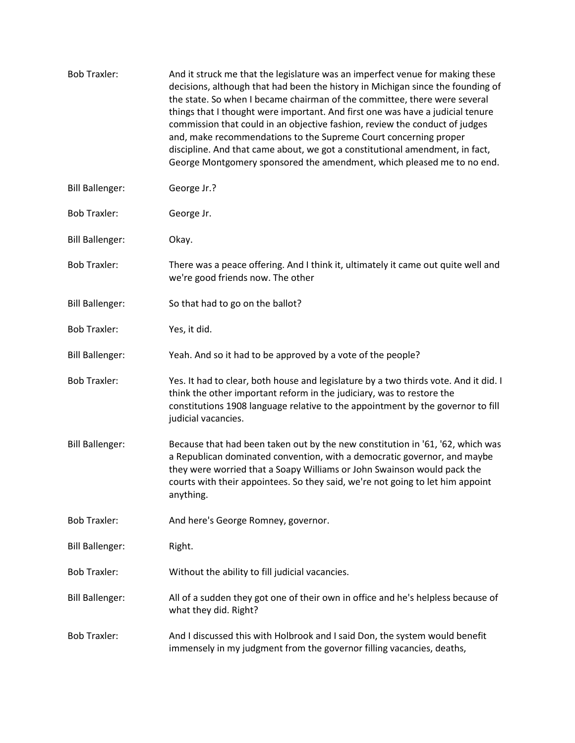| <b>Bob Traxler:</b>    | And it struck me that the legislature was an imperfect venue for making these<br>decisions, although that had been the history in Michigan since the founding of<br>the state. So when I became chairman of the committee, there were several<br>things that I thought were important. And first one was have a judicial tenure<br>commission that could in an objective fashion, review the conduct of judges<br>and, make recommendations to the Supreme Court concerning proper<br>discipline. And that came about, we got a constitutional amendment, in fact,<br>George Montgomery sponsored the amendment, which pleased me to no end. |
|------------------------|----------------------------------------------------------------------------------------------------------------------------------------------------------------------------------------------------------------------------------------------------------------------------------------------------------------------------------------------------------------------------------------------------------------------------------------------------------------------------------------------------------------------------------------------------------------------------------------------------------------------------------------------|
| <b>Bill Ballenger:</b> | George Jr.?                                                                                                                                                                                                                                                                                                                                                                                                                                                                                                                                                                                                                                  |
| <b>Bob Traxler:</b>    | George Jr.                                                                                                                                                                                                                                                                                                                                                                                                                                                                                                                                                                                                                                   |
| <b>Bill Ballenger:</b> | Okay.                                                                                                                                                                                                                                                                                                                                                                                                                                                                                                                                                                                                                                        |
| <b>Bob Traxler:</b>    | There was a peace offering. And I think it, ultimately it came out quite well and<br>we're good friends now. The other                                                                                                                                                                                                                                                                                                                                                                                                                                                                                                                       |
| <b>Bill Ballenger:</b> | So that had to go on the ballot?                                                                                                                                                                                                                                                                                                                                                                                                                                                                                                                                                                                                             |
| <b>Bob Traxler:</b>    | Yes, it did.                                                                                                                                                                                                                                                                                                                                                                                                                                                                                                                                                                                                                                 |
| <b>Bill Ballenger:</b> | Yeah. And so it had to be approved by a vote of the people?                                                                                                                                                                                                                                                                                                                                                                                                                                                                                                                                                                                  |
| <b>Bob Traxler:</b>    | Yes. It had to clear, both house and legislature by a two thirds vote. And it did. I<br>think the other important reform in the judiciary, was to restore the<br>constitutions 1908 language relative to the appointment by the governor to fill<br>judicial vacancies.                                                                                                                                                                                                                                                                                                                                                                      |
| <b>Bill Ballenger:</b> | Because that had been taken out by the new constitution in '61, '62, which was<br>a Republican dominated convention, with a democratic governor, and maybe<br>they were worried that a Soapy Williams or John Swainson would pack the<br>courts with their appointees. So they said, we're not going to let him appoint<br>anything.                                                                                                                                                                                                                                                                                                         |
| <b>Bob Traxler:</b>    | And here's George Romney, governor.                                                                                                                                                                                                                                                                                                                                                                                                                                                                                                                                                                                                          |
| <b>Bill Ballenger:</b> | Right.                                                                                                                                                                                                                                                                                                                                                                                                                                                                                                                                                                                                                                       |
| <b>Bob Traxler:</b>    | Without the ability to fill judicial vacancies.                                                                                                                                                                                                                                                                                                                                                                                                                                                                                                                                                                                              |
| <b>Bill Ballenger:</b> | All of a sudden they got one of their own in office and he's helpless because of<br>what they did. Right?                                                                                                                                                                                                                                                                                                                                                                                                                                                                                                                                    |
| <b>Bob Traxler:</b>    | And I discussed this with Holbrook and I said Don, the system would benefit<br>immensely in my judgment from the governor filling vacancies, deaths,                                                                                                                                                                                                                                                                                                                                                                                                                                                                                         |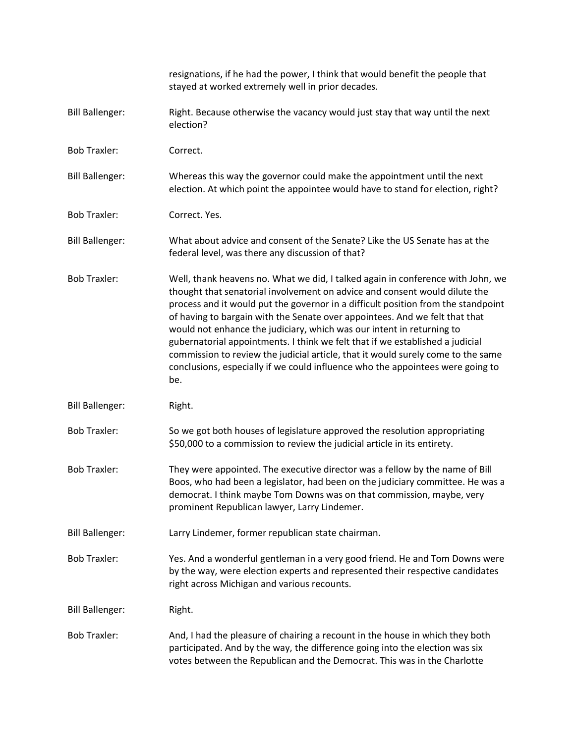|                        | resignations, if he had the power, I think that would benefit the people that<br>stayed at worked extremely well in prior decades.                                                                                                                                                                                                                                                                                                                                                                                                                                                                                                                                       |
|------------------------|--------------------------------------------------------------------------------------------------------------------------------------------------------------------------------------------------------------------------------------------------------------------------------------------------------------------------------------------------------------------------------------------------------------------------------------------------------------------------------------------------------------------------------------------------------------------------------------------------------------------------------------------------------------------------|
| <b>Bill Ballenger:</b> | Right. Because otherwise the vacancy would just stay that way until the next<br>election?                                                                                                                                                                                                                                                                                                                                                                                                                                                                                                                                                                                |
| <b>Bob Traxler:</b>    | Correct.                                                                                                                                                                                                                                                                                                                                                                                                                                                                                                                                                                                                                                                                 |
| <b>Bill Ballenger:</b> | Whereas this way the governor could make the appointment until the next<br>election. At which point the appointee would have to stand for election, right?                                                                                                                                                                                                                                                                                                                                                                                                                                                                                                               |
| <b>Bob Traxler:</b>    | Correct. Yes.                                                                                                                                                                                                                                                                                                                                                                                                                                                                                                                                                                                                                                                            |
| <b>Bill Ballenger:</b> | What about advice and consent of the Senate? Like the US Senate has at the<br>federal level, was there any discussion of that?                                                                                                                                                                                                                                                                                                                                                                                                                                                                                                                                           |
| <b>Bob Traxler:</b>    | Well, thank heavens no. What we did, I talked again in conference with John, we<br>thought that senatorial involvement on advice and consent would dilute the<br>process and it would put the governor in a difficult position from the standpoint<br>of having to bargain with the Senate over appointees. And we felt that that<br>would not enhance the judiciary, which was our intent in returning to<br>gubernatorial appointments. I think we felt that if we established a judicial<br>commission to review the judicial article, that it would surely come to the same<br>conclusions, especially if we could influence who the appointees were going to<br>be. |
| <b>Bill Ballenger:</b> | Right.                                                                                                                                                                                                                                                                                                                                                                                                                                                                                                                                                                                                                                                                   |
| <b>Bob Traxler:</b>    | So we got both houses of legislature approved the resolution appropriating<br>\$50,000 to a commission to review the judicial article in its entirety.                                                                                                                                                                                                                                                                                                                                                                                                                                                                                                                   |
| <b>Bob Traxler:</b>    | They were appointed. The executive director was a fellow by the name of Bill<br>Boos, who had been a legislator, had been on the judiciary committee. He was a<br>democrat. I think maybe Tom Downs was on that commission, maybe, very<br>prominent Republican lawyer, Larry Lindemer.                                                                                                                                                                                                                                                                                                                                                                                  |
| <b>Bill Ballenger:</b> | Larry Lindemer, former republican state chairman.                                                                                                                                                                                                                                                                                                                                                                                                                                                                                                                                                                                                                        |
| <b>Bob Traxler:</b>    | Yes. And a wonderful gentleman in a very good friend. He and Tom Downs were<br>by the way, were election experts and represented their respective candidates<br>right across Michigan and various recounts.                                                                                                                                                                                                                                                                                                                                                                                                                                                              |
| <b>Bill Ballenger:</b> | Right.                                                                                                                                                                                                                                                                                                                                                                                                                                                                                                                                                                                                                                                                   |
| <b>Bob Traxler:</b>    | And, I had the pleasure of chairing a recount in the house in which they both<br>participated. And by the way, the difference going into the election was six<br>votes between the Republican and the Democrat. This was in the Charlotte                                                                                                                                                                                                                                                                                                                                                                                                                                |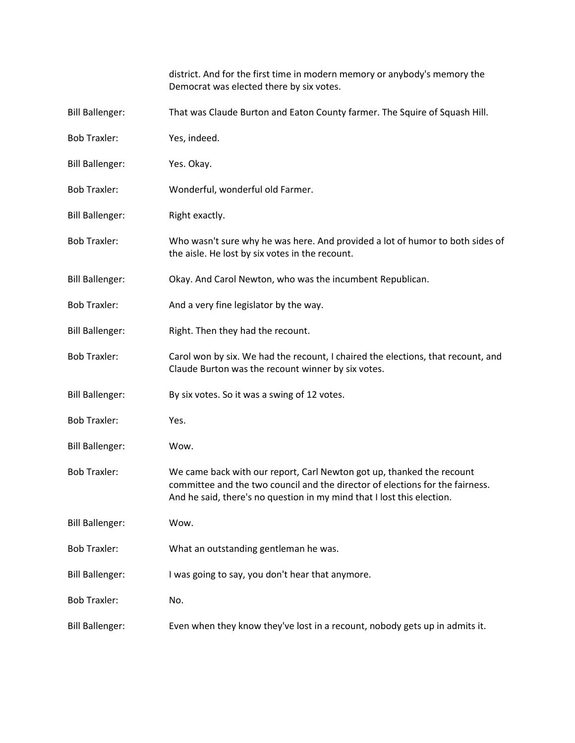|                        | district. And for the first time in modern memory or anybody's memory the<br>Democrat was elected there by six votes.                                                                                                            |
|------------------------|----------------------------------------------------------------------------------------------------------------------------------------------------------------------------------------------------------------------------------|
| <b>Bill Ballenger:</b> | That was Claude Burton and Eaton County farmer. The Squire of Squash Hill.                                                                                                                                                       |
| <b>Bob Traxler:</b>    | Yes, indeed.                                                                                                                                                                                                                     |
| <b>Bill Ballenger:</b> | Yes. Okay.                                                                                                                                                                                                                       |
| <b>Bob Traxler:</b>    | Wonderful, wonderful old Farmer.                                                                                                                                                                                                 |
| <b>Bill Ballenger:</b> | Right exactly.                                                                                                                                                                                                                   |
| <b>Bob Traxler:</b>    | Who wasn't sure why he was here. And provided a lot of humor to both sides of<br>the aisle. He lost by six votes in the recount.                                                                                                 |
| <b>Bill Ballenger:</b> | Okay. And Carol Newton, who was the incumbent Republican.                                                                                                                                                                        |
| <b>Bob Traxler:</b>    | And a very fine legislator by the way.                                                                                                                                                                                           |
| <b>Bill Ballenger:</b> | Right. Then they had the recount.                                                                                                                                                                                                |
| <b>Bob Traxler:</b>    | Carol won by six. We had the recount, I chaired the elections, that recount, and<br>Claude Burton was the recount winner by six votes.                                                                                           |
| <b>Bill Ballenger:</b> | By six votes. So it was a swing of 12 votes.                                                                                                                                                                                     |
| <b>Bob Traxler:</b>    | Yes.                                                                                                                                                                                                                             |
| <b>Bill Ballenger:</b> | Wow.                                                                                                                                                                                                                             |
| <b>Bob Traxler:</b>    | We came back with our report, Carl Newton got up, thanked the recount<br>committee and the two council and the director of elections for the fairness.<br>And he said, there's no question in my mind that I lost this election. |
| <b>Bill Ballenger:</b> | Wow.                                                                                                                                                                                                                             |
| <b>Bob Traxler:</b>    | What an outstanding gentleman he was.                                                                                                                                                                                            |
| <b>Bill Ballenger:</b> | I was going to say, you don't hear that anymore.                                                                                                                                                                                 |
| <b>Bob Traxler:</b>    | No.                                                                                                                                                                                                                              |
| <b>Bill Ballenger:</b> | Even when they know they've lost in a recount, nobody gets up in admits it.                                                                                                                                                      |
|                        |                                                                                                                                                                                                                                  |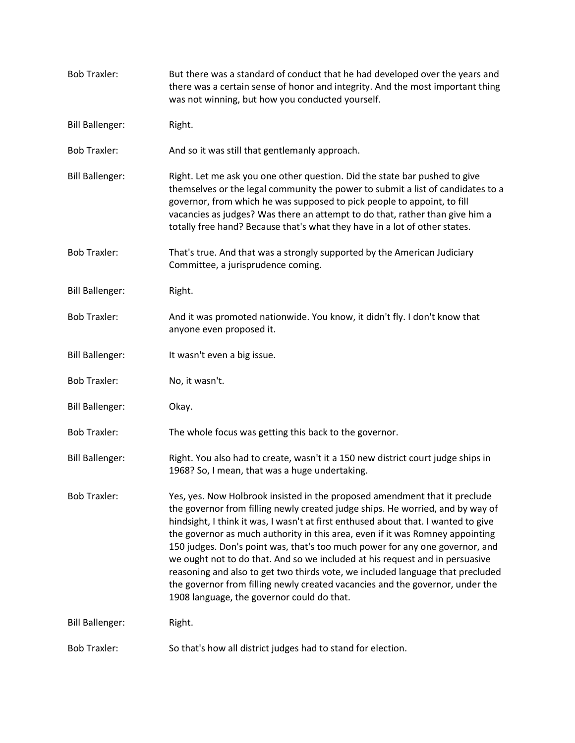| <b>Bob Traxler:</b>    | But there was a standard of conduct that he had developed over the years and<br>there was a certain sense of honor and integrity. And the most important thing<br>was not winning, but how you conducted yourself.                                                                                                                                                                                                                                                                                                                                                                                                                                                                                                   |
|------------------------|----------------------------------------------------------------------------------------------------------------------------------------------------------------------------------------------------------------------------------------------------------------------------------------------------------------------------------------------------------------------------------------------------------------------------------------------------------------------------------------------------------------------------------------------------------------------------------------------------------------------------------------------------------------------------------------------------------------------|
| <b>Bill Ballenger:</b> | Right.                                                                                                                                                                                                                                                                                                                                                                                                                                                                                                                                                                                                                                                                                                               |
| <b>Bob Traxler:</b>    | And so it was still that gentlemanly approach.                                                                                                                                                                                                                                                                                                                                                                                                                                                                                                                                                                                                                                                                       |
| <b>Bill Ballenger:</b> | Right. Let me ask you one other question. Did the state bar pushed to give<br>themselves or the legal community the power to submit a list of candidates to a<br>governor, from which he was supposed to pick people to appoint, to fill<br>vacancies as judges? Was there an attempt to do that, rather than give him a<br>totally free hand? Because that's what they have in a lot of other states.                                                                                                                                                                                                                                                                                                               |
| <b>Bob Traxler:</b>    | That's true. And that was a strongly supported by the American Judiciary<br>Committee, a jurisprudence coming.                                                                                                                                                                                                                                                                                                                                                                                                                                                                                                                                                                                                       |
| <b>Bill Ballenger:</b> | Right.                                                                                                                                                                                                                                                                                                                                                                                                                                                                                                                                                                                                                                                                                                               |
| <b>Bob Traxler:</b>    | And it was promoted nationwide. You know, it didn't fly. I don't know that<br>anyone even proposed it.                                                                                                                                                                                                                                                                                                                                                                                                                                                                                                                                                                                                               |
| <b>Bill Ballenger:</b> | It wasn't even a big issue.                                                                                                                                                                                                                                                                                                                                                                                                                                                                                                                                                                                                                                                                                          |
| <b>Bob Traxler:</b>    | No, it wasn't.                                                                                                                                                                                                                                                                                                                                                                                                                                                                                                                                                                                                                                                                                                       |
| <b>Bill Ballenger:</b> | Okay.                                                                                                                                                                                                                                                                                                                                                                                                                                                                                                                                                                                                                                                                                                                |
| <b>Bob Traxler:</b>    | The whole focus was getting this back to the governor.                                                                                                                                                                                                                                                                                                                                                                                                                                                                                                                                                                                                                                                               |
| <b>Bill Ballenger:</b> | Right. You also had to create, wasn't it a 150 new district court judge ships in<br>1968? So, I mean, that was a huge undertaking.                                                                                                                                                                                                                                                                                                                                                                                                                                                                                                                                                                                   |
| <b>Bob Traxler:</b>    | Yes, yes. Now Holbrook insisted in the proposed amendment that it preclude<br>the governor from filling newly created judge ships. He worried, and by way of<br>hindsight, I think it was, I wasn't at first enthused about that. I wanted to give<br>the governor as much authority in this area, even if it was Romney appointing<br>150 judges. Don's point was, that's too much power for any one governor, and<br>we ought not to do that. And so we included at his request and in persuasive<br>reasoning and also to get two thirds vote, we included language that precluded<br>the governor from filling newly created vacancies and the governor, under the<br>1908 language, the governor could do that. |
| <b>Bill Ballenger:</b> | Right.                                                                                                                                                                                                                                                                                                                                                                                                                                                                                                                                                                                                                                                                                                               |
| <b>Bob Traxler:</b>    | So that's how all district judges had to stand for election.                                                                                                                                                                                                                                                                                                                                                                                                                                                                                                                                                                                                                                                         |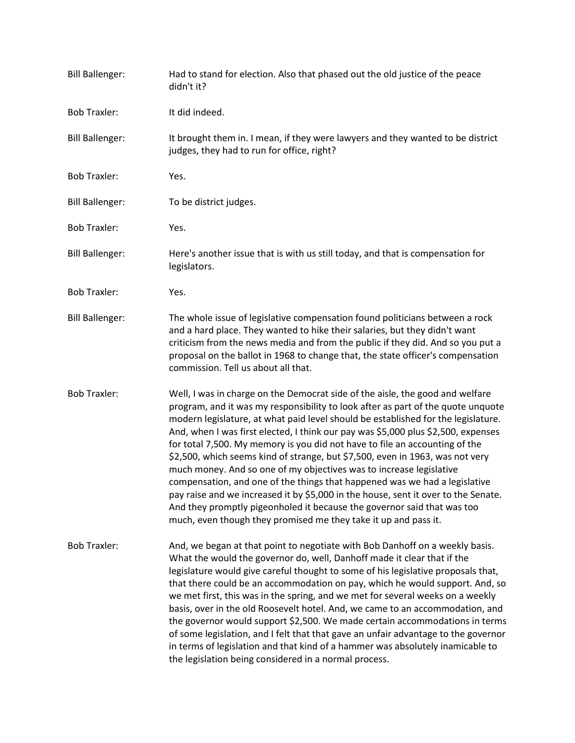| <b>Bill Ballenger:</b> | Had to stand for election. Also that phased out the old justice of the peace<br>didn't it?                                                                                                                                                                                                                                                                                                                                                                                                                                                                                                                                                                                                                                                                                                                                                                                                           |
|------------------------|------------------------------------------------------------------------------------------------------------------------------------------------------------------------------------------------------------------------------------------------------------------------------------------------------------------------------------------------------------------------------------------------------------------------------------------------------------------------------------------------------------------------------------------------------------------------------------------------------------------------------------------------------------------------------------------------------------------------------------------------------------------------------------------------------------------------------------------------------------------------------------------------------|
| <b>Bob Traxler:</b>    | It did indeed.                                                                                                                                                                                                                                                                                                                                                                                                                                                                                                                                                                                                                                                                                                                                                                                                                                                                                       |
| <b>Bill Ballenger:</b> | It brought them in. I mean, if they were lawyers and they wanted to be district<br>judges, they had to run for office, right?                                                                                                                                                                                                                                                                                                                                                                                                                                                                                                                                                                                                                                                                                                                                                                        |
| <b>Bob Traxler:</b>    | Yes.                                                                                                                                                                                                                                                                                                                                                                                                                                                                                                                                                                                                                                                                                                                                                                                                                                                                                                 |
| <b>Bill Ballenger:</b> | To be district judges.                                                                                                                                                                                                                                                                                                                                                                                                                                                                                                                                                                                                                                                                                                                                                                                                                                                                               |
| <b>Bob Traxler:</b>    | Yes.                                                                                                                                                                                                                                                                                                                                                                                                                                                                                                                                                                                                                                                                                                                                                                                                                                                                                                 |
| <b>Bill Ballenger:</b> | Here's another issue that is with us still today, and that is compensation for<br>legislators.                                                                                                                                                                                                                                                                                                                                                                                                                                                                                                                                                                                                                                                                                                                                                                                                       |
| <b>Bob Traxler:</b>    | Yes.                                                                                                                                                                                                                                                                                                                                                                                                                                                                                                                                                                                                                                                                                                                                                                                                                                                                                                 |
| <b>Bill Ballenger:</b> | The whole issue of legislative compensation found politicians between a rock<br>and a hard place. They wanted to hike their salaries, but they didn't want<br>criticism from the news media and from the public if they did. And so you put a<br>proposal on the ballot in 1968 to change that, the state officer's compensation<br>commission. Tell us about all that.                                                                                                                                                                                                                                                                                                                                                                                                                                                                                                                              |
| <b>Bob Traxler:</b>    | Well, I was in charge on the Democrat side of the aisle, the good and welfare<br>program, and it was my responsibility to look after as part of the quote unquote<br>modern legislature, at what paid level should be established for the legislature.<br>And, when I was first elected, I think our pay was \$5,000 plus \$2,500, expenses<br>for total 7,500. My memory is you did not have to file an accounting of the<br>\$2,500, which seems kind of strange, but \$7,500, even in 1963, was not very<br>much money. And so one of my objectives was to increase legislative<br>compensation, and one of the things that happened was we had a legislative<br>pay raise and we increased it by \$5,000 in the house, sent it over to the Senate.<br>And they promptly pigeonholed it because the governor said that was too<br>much, even though they promised me they take it up and pass it. |
| <b>Bob Traxler:</b>    | And, we began at that point to negotiate with Bob Danhoff on a weekly basis.<br>What the would the governor do, well, Danhoff made it clear that if the<br>legislature would give careful thought to some of his legislative proposals that,<br>that there could be an accommodation on pay, which he would support. And, so<br>we met first, this was in the spring, and we met for several weeks on a weekly<br>basis, over in the old Roosevelt hotel. And, we came to an accommodation, and<br>the governor would support \$2,500. We made certain accommodations in terms<br>of some legislation, and I felt that that gave an unfair advantage to the governor<br>in terms of legislation and that kind of a hammer was absolutely inamicable to<br>the legislation being considered in a normal process.                                                                                      |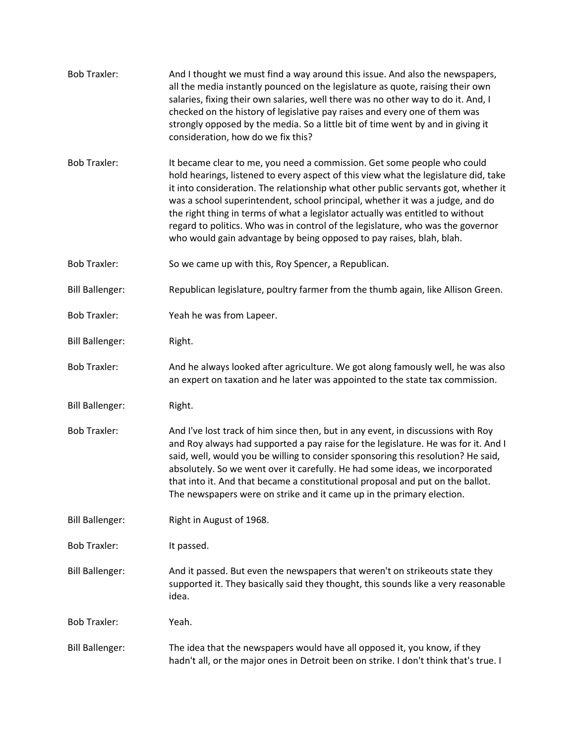| <b>Bob Traxler:</b>    | And I thought we must find a way around this issue. And also the newspapers,<br>all the media instantly pounced on the legislature as quote, raising their own<br>salaries, fixing their own salaries, well there was no other way to do it. And, I<br>checked on the history of legislative pay raises and every one of them was<br>strongly opposed by the media. So a little bit of time went by and in giving it<br>consideration, how do we fix this?                                                                                                                         |
|------------------------|------------------------------------------------------------------------------------------------------------------------------------------------------------------------------------------------------------------------------------------------------------------------------------------------------------------------------------------------------------------------------------------------------------------------------------------------------------------------------------------------------------------------------------------------------------------------------------|
| <b>Bob Traxler:</b>    | It became clear to me, you need a commission. Get some people who could<br>hold hearings, listened to every aspect of this view what the legislature did, take<br>it into consideration. The relationship what other public servants got, whether it<br>was a school superintendent, school principal, whether it was a judge, and do<br>the right thing in terms of what a legislator actually was entitled to without<br>regard to politics. Who was in control of the legislature, who was the governor<br>who would gain advantage by being opposed to pay raises, blah, blah. |
| <b>Bob Traxler:</b>    | So we came up with this, Roy Spencer, a Republican.                                                                                                                                                                                                                                                                                                                                                                                                                                                                                                                                |
| <b>Bill Ballenger:</b> | Republican legislature, poultry farmer from the thumb again, like Allison Green.                                                                                                                                                                                                                                                                                                                                                                                                                                                                                                   |
| <b>Bob Traxler:</b>    | Yeah he was from Lapeer.                                                                                                                                                                                                                                                                                                                                                                                                                                                                                                                                                           |
| <b>Bill Ballenger:</b> | Right.                                                                                                                                                                                                                                                                                                                                                                                                                                                                                                                                                                             |
| <b>Bob Traxler:</b>    | And he always looked after agriculture. We got along famously well, he was also<br>an expert on taxation and he later was appointed to the state tax commission.                                                                                                                                                                                                                                                                                                                                                                                                                   |
| <b>Bill Ballenger:</b> | Right.                                                                                                                                                                                                                                                                                                                                                                                                                                                                                                                                                                             |
| <b>Bob Traxler:</b>    | And I've lost track of him since then, but in any event, in discussions with Roy<br>and Roy always had supported a pay raise for the legislature. He was for it. And I<br>said, well, would you be willing to consider sponsoring this resolution? He said,<br>absolutely. So we went over it carefully. He had some ideas, we incorporated<br>that into it. And that became a constitutional proposal and put on the ballot.<br>The newspapers were on strike and it came up in the primary election.                                                                             |
| <b>Bill Ballenger:</b> | Right in August of 1968.                                                                                                                                                                                                                                                                                                                                                                                                                                                                                                                                                           |
| <b>Bob Traxler:</b>    | It passed.                                                                                                                                                                                                                                                                                                                                                                                                                                                                                                                                                                         |
| <b>Bill Ballenger:</b> | And it passed. But even the newspapers that weren't on strikeouts state they<br>supported it. They basically said they thought, this sounds like a very reasonable<br>idea.                                                                                                                                                                                                                                                                                                                                                                                                        |
| <b>Bob Traxler:</b>    | Yeah.                                                                                                                                                                                                                                                                                                                                                                                                                                                                                                                                                                              |
| <b>Bill Ballenger:</b> | The idea that the newspapers would have all opposed it, you know, if they<br>hadn't all, or the major ones in Detroit been on strike. I don't think that's true. I                                                                                                                                                                                                                                                                                                                                                                                                                 |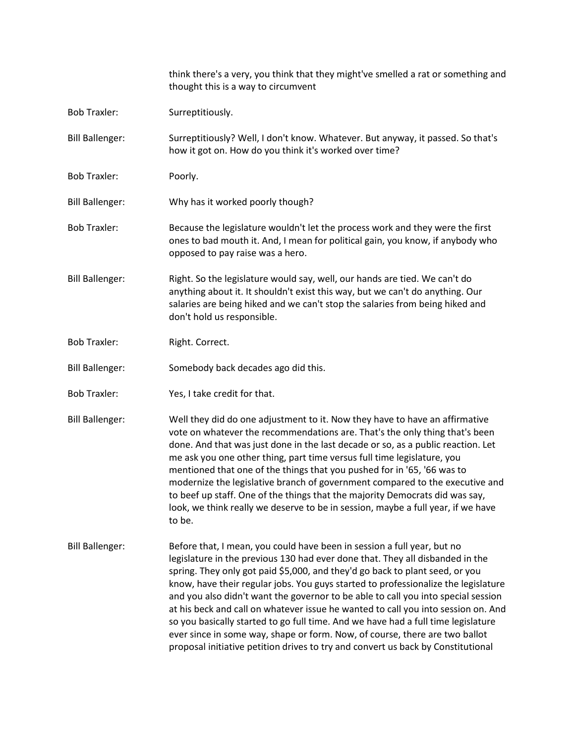|                        | think there's a very, you think that they might've smelled a rat or something and<br>thought this is a way to circumvent                                                                                                                                                                                                                                                                                                                                                                                                                                                                                                                                                                                                                                         |
|------------------------|------------------------------------------------------------------------------------------------------------------------------------------------------------------------------------------------------------------------------------------------------------------------------------------------------------------------------------------------------------------------------------------------------------------------------------------------------------------------------------------------------------------------------------------------------------------------------------------------------------------------------------------------------------------------------------------------------------------------------------------------------------------|
| <b>Bob Traxler:</b>    | Surreptitiously.                                                                                                                                                                                                                                                                                                                                                                                                                                                                                                                                                                                                                                                                                                                                                 |
| <b>Bill Ballenger:</b> | Surreptitiously? Well, I don't know. Whatever. But anyway, it passed. So that's<br>how it got on. How do you think it's worked over time?                                                                                                                                                                                                                                                                                                                                                                                                                                                                                                                                                                                                                        |
| <b>Bob Traxler:</b>    | Poorly.                                                                                                                                                                                                                                                                                                                                                                                                                                                                                                                                                                                                                                                                                                                                                          |
| <b>Bill Ballenger:</b> | Why has it worked poorly though?                                                                                                                                                                                                                                                                                                                                                                                                                                                                                                                                                                                                                                                                                                                                 |
| <b>Bob Traxler:</b>    | Because the legislature wouldn't let the process work and they were the first<br>ones to bad mouth it. And, I mean for political gain, you know, if anybody who<br>opposed to pay raise was a hero.                                                                                                                                                                                                                                                                                                                                                                                                                                                                                                                                                              |
| <b>Bill Ballenger:</b> | Right. So the legislature would say, well, our hands are tied. We can't do<br>anything about it. It shouldn't exist this way, but we can't do anything. Our<br>salaries are being hiked and we can't stop the salaries from being hiked and<br>don't hold us responsible.                                                                                                                                                                                                                                                                                                                                                                                                                                                                                        |
| <b>Bob Traxler:</b>    | Right. Correct.                                                                                                                                                                                                                                                                                                                                                                                                                                                                                                                                                                                                                                                                                                                                                  |
| <b>Bill Ballenger:</b> | Somebody back decades ago did this.                                                                                                                                                                                                                                                                                                                                                                                                                                                                                                                                                                                                                                                                                                                              |
| <b>Bob Traxler:</b>    | Yes, I take credit for that.                                                                                                                                                                                                                                                                                                                                                                                                                                                                                                                                                                                                                                                                                                                                     |
| <b>Bill Ballenger:</b> | Well they did do one adjustment to it. Now they have to have an affirmative<br>vote on whatever the recommendations are. That's the only thing that's been<br>done. And that was just done in the last decade or so, as a public reaction. Let<br>me ask you one other thing, part time versus full time legislature, you<br>mentioned that one of the things that you pushed for in '65, '66 was to<br>modernize the legislative branch of government compared to the executive and<br>to beef up staff. One of the things that the majority Democrats did was say,<br>look, we think really we deserve to be in session, maybe a full year, if we have<br>to be.                                                                                               |
| <b>Bill Ballenger:</b> | Before that, I mean, you could have been in session a full year, but no<br>legislature in the previous 130 had ever done that. They all disbanded in the<br>spring. They only got paid \$5,000, and they'd go back to plant seed, or you<br>know, have their regular jobs. You guys started to professionalize the legislature<br>and you also didn't want the governor to be able to call you into special session<br>at his beck and call on whatever issue he wanted to call you into session on. And<br>so you basically started to go full time. And we have had a full time legislature<br>ever since in some way, shape or form. Now, of course, there are two ballot<br>proposal initiative petition drives to try and convert us back by Constitutional |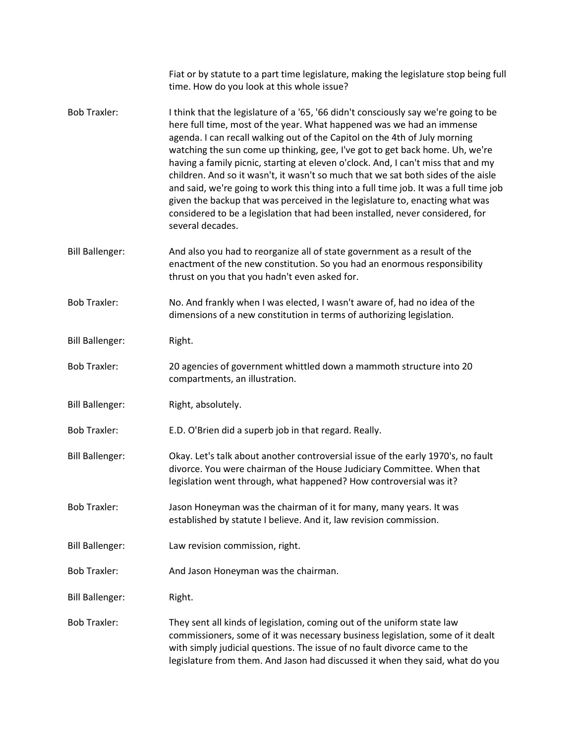|                        | Fiat or by statute to a part time legislature, making the legislature stop being full<br>time. How do you look at this whole issue?                                                                                                                                                                                                                                                                                                                                                                                                                                                                                                                                                                                                                                                |
|------------------------|------------------------------------------------------------------------------------------------------------------------------------------------------------------------------------------------------------------------------------------------------------------------------------------------------------------------------------------------------------------------------------------------------------------------------------------------------------------------------------------------------------------------------------------------------------------------------------------------------------------------------------------------------------------------------------------------------------------------------------------------------------------------------------|
| <b>Bob Traxler:</b>    | I think that the legislature of a '65, '66 didn't consciously say we're going to be<br>here full time, most of the year. What happened was we had an immense<br>agenda. I can recall walking out of the Capitol on the 4th of July morning<br>watching the sun come up thinking, gee, I've got to get back home. Uh, we're<br>having a family picnic, starting at eleven o'clock. And, I can't miss that and my<br>children. And so it wasn't, it wasn't so much that we sat both sides of the aisle<br>and said, we're going to work this thing into a full time job. It was a full time job<br>given the backup that was perceived in the legislature to, enacting what was<br>considered to be a legislation that had been installed, never considered, for<br>several decades. |
| <b>Bill Ballenger:</b> | And also you had to reorganize all of state government as a result of the<br>enactment of the new constitution. So you had an enormous responsibility<br>thrust on you that you hadn't even asked for.                                                                                                                                                                                                                                                                                                                                                                                                                                                                                                                                                                             |
| <b>Bob Traxler:</b>    | No. And frankly when I was elected, I wasn't aware of, had no idea of the<br>dimensions of a new constitution in terms of authorizing legislation.                                                                                                                                                                                                                                                                                                                                                                                                                                                                                                                                                                                                                                 |
| <b>Bill Ballenger:</b> | Right.                                                                                                                                                                                                                                                                                                                                                                                                                                                                                                                                                                                                                                                                                                                                                                             |
| <b>Bob Traxler:</b>    | 20 agencies of government whittled down a mammoth structure into 20<br>compartments, an illustration.                                                                                                                                                                                                                                                                                                                                                                                                                                                                                                                                                                                                                                                                              |
| <b>Bill Ballenger:</b> | Right, absolutely.                                                                                                                                                                                                                                                                                                                                                                                                                                                                                                                                                                                                                                                                                                                                                                 |
| <b>Bob Traxler:</b>    | E.D. O'Brien did a superb job in that regard. Really.                                                                                                                                                                                                                                                                                                                                                                                                                                                                                                                                                                                                                                                                                                                              |
| <b>Bill Ballenger:</b> | Okay. Let's talk about another controversial issue of the early 1970's, no fault<br>divorce. You were chairman of the House Judiciary Committee. When that<br>legislation went through, what happened? How controversial was it?                                                                                                                                                                                                                                                                                                                                                                                                                                                                                                                                                   |
| <b>Bob Traxler:</b>    | Jason Honeyman was the chairman of it for many, many years. It was<br>established by statute I believe. And it, law revision commission.                                                                                                                                                                                                                                                                                                                                                                                                                                                                                                                                                                                                                                           |
| <b>Bill Ballenger:</b> | Law revision commission, right.                                                                                                                                                                                                                                                                                                                                                                                                                                                                                                                                                                                                                                                                                                                                                    |
| <b>Bob Traxler:</b>    | And Jason Honeyman was the chairman.                                                                                                                                                                                                                                                                                                                                                                                                                                                                                                                                                                                                                                                                                                                                               |
| <b>Bill Ballenger:</b> | Right.                                                                                                                                                                                                                                                                                                                                                                                                                                                                                                                                                                                                                                                                                                                                                                             |
| <b>Bob Traxler:</b>    | They sent all kinds of legislation, coming out of the uniform state law<br>commissioners, some of it was necessary business legislation, some of it dealt<br>with simply judicial questions. The issue of no fault divorce came to the<br>legislature from them. And Jason had discussed it when they said, what do you                                                                                                                                                                                                                                                                                                                                                                                                                                                            |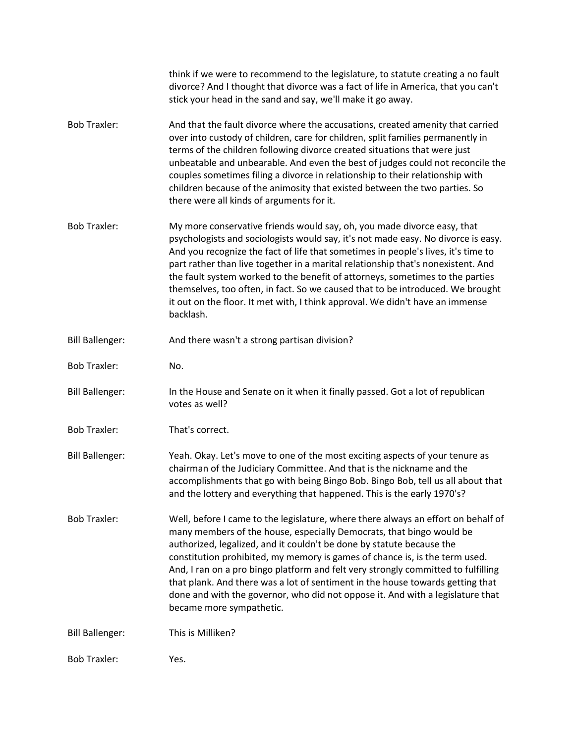|                        | think if we were to recommend to the legislature, to statute creating a no fault<br>divorce? And I thought that divorce was a fact of life in America, that you can't<br>stick your head in the sand and say, we'll make it go away.                                                                                                                                                                                                                                                                                                                                                                   |
|------------------------|--------------------------------------------------------------------------------------------------------------------------------------------------------------------------------------------------------------------------------------------------------------------------------------------------------------------------------------------------------------------------------------------------------------------------------------------------------------------------------------------------------------------------------------------------------------------------------------------------------|
| <b>Bob Traxler:</b>    | And that the fault divorce where the accusations, created amenity that carried<br>over into custody of children, care for children, split families permanently in<br>terms of the children following divorce created situations that were just<br>unbeatable and unbearable. And even the best of judges could not reconcile the<br>couples sometimes filing a divorce in relationship to their relationship with<br>children because of the animosity that existed between the two parties. So<br>there were all kinds of arguments for it.                                                           |
| <b>Bob Traxler:</b>    | My more conservative friends would say, oh, you made divorce easy, that<br>psychologists and sociologists would say, it's not made easy. No divorce is easy.<br>And you recognize the fact of life that sometimes in people's lives, it's time to<br>part rather than live together in a marital relationship that's nonexistent. And<br>the fault system worked to the benefit of attorneys, sometimes to the parties<br>themselves, too often, in fact. So we caused that to be introduced. We brought<br>it out on the floor. It met with, I think approval. We didn't have an immense<br>backlash. |
| <b>Bill Ballenger:</b> | And there wasn't a strong partisan division?                                                                                                                                                                                                                                                                                                                                                                                                                                                                                                                                                           |
| <b>Bob Traxler:</b>    | No.                                                                                                                                                                                                                                                                                                                                                                                                                                                                                                                                                                                                    |
| <b>Bill Ballenger:</b> | In the House and Senate on it when it finally passed. Got a lot of republican<br>votes as well?                                                                                                                                                                                                                                                                                                                                                                                                                                                                                                        |
| <b>Bob Traxler:</b>    | That's correct.                                                                                                                                                                                                                                                                                                                                                                                                                                                                                                                                                                                        |
| <b>Bill Ballenger:</b> | Yeah. Okay. Let's move to one of the most exciting aspects of your tenure as<br>chairman of the Judiciary Committee. And that is the nickname and the<br>accomplishments that go with being Bingo Bob. Bingo Bob, tell us all about that<br>and the lottery and everything that happened. This is the early 1970's?                                                                                                                                                                                                                                                                                    |
| <b>Bob Traxler:</b>    | Well, before I came to the legislature, where there always an effort on behalf of<br>many members of the house, especially Democrats, that bingo would be<br>authorized, legalized, and it couldn't be done by statute because the<br>constitution prohibited, my memory is games of chance is, is the term used.<br>And, I ran on a pro bingo platform and felt very strongly committed to fulfilling<br>that plank. And there was a lot of sentiment in the house towards getting that<br>done and with the governor, who did not oppose it. And with a legislature that<br>became more sympathetic. |
| <b>Bill Ballenger:</b> | This is Milliken?                                                                                                                                                                                                                                                                                                                                                                                                                                                                                                                                                                                      |
| <b>Bob Traxler:</b>    | Yes.                                                                                                                                                                                                                                                                                                                                                                                                                                                                                                                                                                                                   |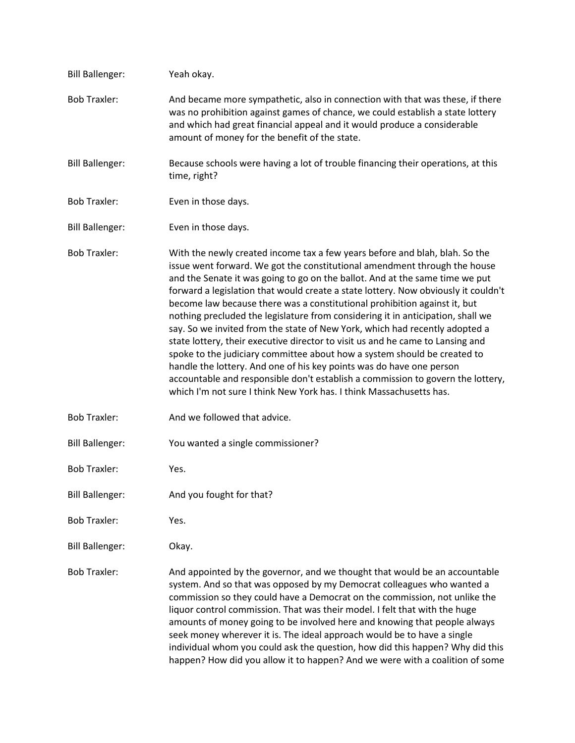| <b>Bill Ballenger:</b> | Yeah okay.                                                                                                                                                                                                                                                                                                                                                                                                                                                                                                                                                                                                                                                                                                                                                                                                                                                                                                                                                                    |
|------------------------|-------------------------------------------------------------------------------------------------------------------------------------------------------------------------------------------------------------------------------------------------------------------------------------------------------------------------------------------------------------------------------------------------------------------------------------------------------------------------------------------------------------------------------------------------------------------------------------------------------------------------------------------------------------------------------------------------------------------------------------------------------------------------------------------------------------------------------------------------------------------------------------------------------------------------------------------------------------------------------|
| <b>Bob Traxler:</b>    | And became more sympathetic, also in connection with that was these, if there<br>was no prohibition against games of chance, we could establish a state lottery<br>and which had great financial appeal and it would produce a considerable<br>amount of money for the benefit of the state.                                                                                                                                                                                                                                                                                                                                                                                                                                                                                                                                                                                                                                                                                  |
| <b>Bill Ballenger:</b> | Because schools were having a lot of trouble financing their operations, at this<br>time, right?                                                                                                                                                                                                                                                                                                                                                                                                                                                                                                                                                                                                                                                                                                                                                                                                                                                                              |
| <b>Bob Traxler:</b>    | Even in those days.                                                                                                                                                                                                                                                                                                                                                                                                                                                                                                                                                                                                                                                                                                                                                                                                                                                                                                                                                           |
| <b>Bill Ballenger:</b> | Even in those days.                                                                                                                                                                                                                                                                                                                                                                                                                                                                                                                                                                                                                                                                                                                                                                                                                                                                                                                                                           |
| <b>Bob Traxler:</b>    | With the newly created income tax a few years before and blah, blah. So the<br>issue went forward. We got the constitutional amendment through the house<br>and the Senate it was going to go on the ballot. And at the same time we put<br>forward a legislation that would create a state lottery. Now obviously it couldn't<br>become law because there was a constitutional prohibition against it, but<br>nothing precluded the legislature from considering it in anticipation, shall we<br>say. So we invited from the state of New York, which had recently adopted a<br>state lottery, their executive director to visit us and he came to Lansing and<br>spoke to the judiciary committee about how a system should be created to<br>handle the lottery. And one of his key points was do have one person<br>accountable and responsible don't establish a commission to govern the lottery,<br>which I'm not sure I think New York has. I think Massachusetts has. |
| <b>Bob Traxler:</b>    | And we followed that advice.                                                                                                                                                                                                                                                                                                                                                                                                                                                                                                                                                                                                                                                                                                                                                                                                                                                                                                                                                  |
| <b>Bill Ballenger:</b> | You wanted a single commissioner?                                                                                                                                                                                                                                                                                                                                                                                                                                                                                                                                                                                                                                                                                                                                                                                                                                                                                                                                             |
| <b>Bob Traxler:</b>    | Yes.                                                                                                                                                                                                                                                                                                                                                                                                                                                                                                                                                                                                                                                                                                                                                                                                                                                                                                                                                                          |
| <b>Bill Ballenger:</b> | And you fought for that?                                                                                                                                                                                                                                                                                                                                                                                                                                                                                                                                                                                                                                                                                                                                                                                                                                                                                                                                                      |
| <b>Bob Traxler:</b>    | Yes.                                                                                                                                                                                                                                                                                                                                                                                                                                                                                                                                                                                                                                                                                                                                                                                                                                                                                                                                                                          |
| <b>Bill Ballenger:</b> | Okay.                                                                                                                                                                                                                                                                                                                                                                                                                                                                                                                                                                                                                                                                                                                                                                                                                                                                                                                                                                         |
| <b>Bob Traxler:</b>    | And appointed by the governor, and we thought that would be an accountable<br>system. And so that was opposed by my Democrat colleagues who wanted a<br>commission so they could have a Democrat on the commission, not unlike the<br>liquor control commission. That was their model. I felt that with the huge<br>amounts of money going to be involved here and knowing that people always<br>seek money wherever it is. The ideal approach would be to have a single<br>individual whom you could ask the question, how did this happen? Why did this<br>happen? How did you allow it to happen? And we were with a coalition of some                                                                                                                                                                                                                                                                                                                                     |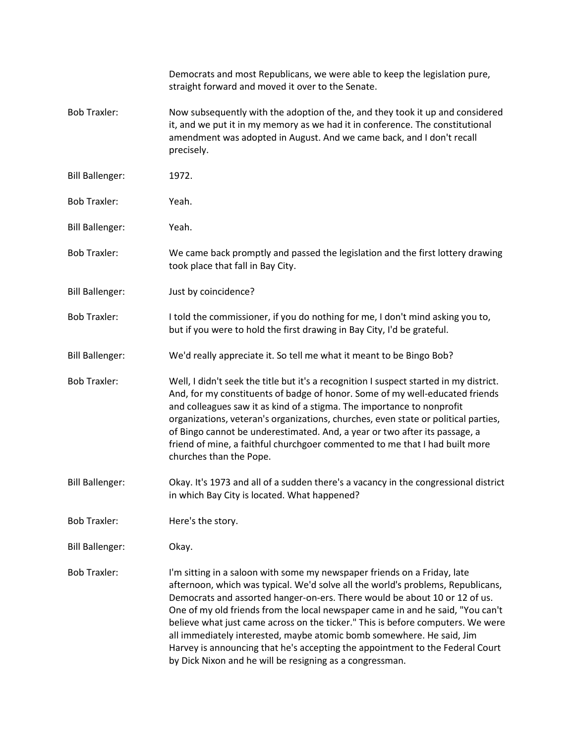|                        | Democrats and most Republicans, we were able to keep the legislation pure,<br>straight forward and moved it over to the Senate.                                                                                                                                                                                                                                                                                                                                                                                                                                                                                                      |
|------------------------|--------------------------------------------------------------------------------------------------------------------------------------------------------------------------------------------------------------------------------------------------------------------------------------------------------------------------------------------------------------------------------------------------------------------------------------------------------------------------------------------------------------------------------------------------------------------------------------------------------------------------------------|
| <b>Bob Traxler:</b>    | Now subsequently with the adoption of the, and they took it up and considered<br>it, and we put it in my memory as we had it in conference. The constitutional<br>amendment was adopted in August. And we came back, and I don't recall<br>precisely.                                                                                                                                                                                                                                                                                                                                                                                |
| <b>Bill Ballenger:</b> | 1972.                                                                                                                                                                                                                                                                                                                                                                                                                                                                                                                                                                                                                                |
| <b>Bob Traxler:</b>    | Yeah.                                                                                                                                                                                                                                                                                                                                                                                                                                                                                                                                                                                                                                |
| <b>Bill Ballenger:</b> | Yeah.                                                                                                                                                                                                                                                                                                                                                                                                                                                                                                                                                                                                                                |
| <b>Bob Traxler:</b>    | We came back promptly and passed the legislation and the first lottery drawing<br>took place that fall in Bay City.                                                                                                                                                                                                                                                                                                                                                                                                                                                                                                                  |
| <b>Bill Ballenger:</b> | Just by coincidence?                                                                                                                                                                                                                                                                                                                                                                                                                                                                                                                                                                                                                 |
| <b>Bob Traxler:</b>    | I told the commissioner, if you do nothing for me, I don't mind asking you to,<br>but if you were to hold the first drawing in Bay City, I'd be grateful.                                                                                                                                                                                                                                                                                                                                                                                                                                                                            |
| <b>Bill Ballenger:</b> | We'd really appreciate it. So tell me what it meant to be Bingo Bob?                                                                                                                                                                                                                                                                                                                                                                                                                                                                                                                                                                 |
| <b>Bob Traxler:</b>    | Well, I didn't seek the title but it's a recognition I suspect started in my district.<br>And, for my constituents of badge of honor. Some of my well-educated friends<br>and colleagues saw it as kind of a stigma. The importance to nonprofit<br>organizations, veteran's organizations, churches, even state or political parties,<br>of Bingo cannot be underestimated. And, a year or two after its passage, a<br>friend of mine, a faithful churchgoer commented to me that I had built more<br>churches than the Pope.                                                                                                       |
| <b>Bill Ballenger:</b> | Okay. It's 1973 and all of a sudden there's a vacancy in the congressional district<br>in which Bay City is located. What happened?                                                                                                                                                                                                                                                                                                                                                                                                                                                                                                  |
| <b>Bob Traxler:</b>    | Here's the story.                                                                                                                                                                                                                                                                                                                                                                                                                                                                                                                                                                                                                    |
| <b>Bill Ballenger:</b> | Okay.                                                                                                                                                                                                                                                                                                                                                                                                                                                                                                                                                                                                                                |
| <b>Bob Traxler:</b>    | I'm sitting in a saloon with some my newspaper friends on a Friday, late<br>afternoon, which was typical. We'd solve all the world's problems, Republicans,<br>Democrats and assorted hanger-on-ers. There would be about 10 or 12 of us.<br>One of my old friends from the local newspaper came in and he said, "You can't<br>believe what just came across on the ticker." This is before computers. We were<br>all immediately interested, maybe atomic bomb somewhere. He said, Jim<br>Harvey is announcing that he's accepting the appointment to the Federal Court<br>by Dick Nixon and he will be resigning as a congressman. |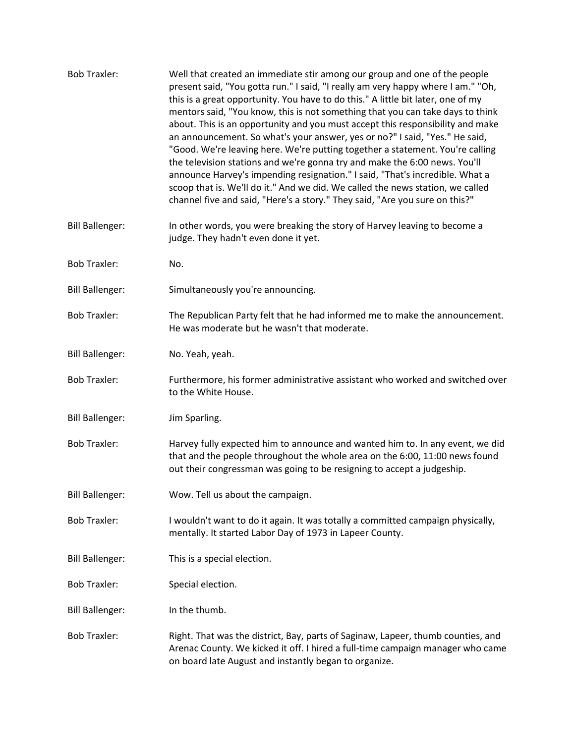| <b>Bob Traxler:</b>    | Well that created an immediate stir among our group and one of the people<br>present said, "You gotta run." I said, "I really am very happy where I am." "Oh,<br>this is a great opportunity. You have to do this." A little bit later, one of my<br>mentors said, "You know, this is not something that you can take days to think<br>about. This is an opportunity and you must accept this responsibility and make<br>an announcement. So what's your answer, yes or no?" I said, "Yes." He said,<br>"Good. We're leaving here. We're putting together a statement. You're calling<br>the television stations and we're gonna try and make the 6:00 news. You'll<br>announce Harvey's impending resignation." I said, "That's incredible. What a<br>scoop that is. We'll do it." And we did. We called the news station, we called<br>channel five and said, "Here's a story." They said, "Are you sure on this?" |
|------------------------|----------------------------------------------------------------------------------------------------------------------------------------------------------------------------------------------------------------------------------------------------------------------------------------------------------------------------------------------------------------------------------------------------------------------------------------------------------------------------------------------------------------------------------------------------------------------------------------------------------------------------------------------------------------------------------------------------------------------------------------------------------------------------------------------------------------------------------------------------------------------------------------------------------------------|
| <b>Bill Ballenger:</b> | In other words, you were breaking the story of Harvey leaving to become a<br>judge. They hadn't even done it yet.                                                                                                                                                                                                                                                                                                                                                                                                                                                                                                                                                                                                                                                                                                                                                                                                    |
| <b>Bob Traxler:</b>    | No.                                                                                                                                                                                                                                                                                                                                                                                                                                                                                                                                                                                                                                                                                                                                                                                                                                                                                                                  |
| <b>Bill Ballenger:</b> | Simultaneously you're announcing.                                                                                                                                                                                                                                                                                                                                                                                                                                                                                                                                                                                                                                                                                                                                                                                                                                                                                    |
| <b>Bob Traxler:</b>    | The Republican Party felt that he had informed me to make the announcement.<br>He was moderate but he wasn't that moderate.                                                                                                                                                                                                                                                                                                                                                                                                                                                                                                                                                                                                                                                                                                                                                                                          |
| <b>Bill Ballenger:</b> | No. Yeah, yeah.                                                                                                                                                                                                                                                                                                                                                                                                                                                                                                                                                                                                                                                                                                                                                                                                                                                                                                      |
| <b>Bob Traxler:</b>    | Furthermore, his former administrative assistant who worked and switched over<br>to the White House.                                                                                                                                                                                                                                                                                                                                                                                                                                                                                                                                                                                                                                                                                                                                                                                                                 |
| <b>Bill Ballenger:</b> | Jim Sparling.                                                                                                                                                                                                                                                                                                                                                                                                                                                                                                                                                                                                                                                                                                                                                                                                                                                                                                        |
| <b>Bob Traxler:</b>    | Harvey fully expected him to announce and wanted him to. In any event, we did<br>that and the people throughout the whole area on the 6:00, 11:00 news found<br>out their congressman was going to be resigning to accept a judgeship.                                                                                                                                                                                                                                                                                                                                                                                                                                                                                                                                                                                                                                                                               |
| <b>Bill Ballenger:</b> | Wow. Tell us about the campaign.                                                                                                                                                                                                                                                                                                                                                                                                                                                                                                                                                                                                                                                                                                                                                                                                                                                                                     |
| <b>Bob Traxler:</b>    | I wouldn't want to do it again. It was totally a committed campaign physically,<br>mentally. It started Labor Day of 1973 in Lapeer County.                                                                                                                                                                                                                                                                                                                                                                                                                                                                                                                                                                                                                                                                                                                                                                          |
| <b>Bill Ballenger:</b> | This is a special election.                                                                                                                                                                                                                                                                                                                                                                                                                                                                                                                                                                                                                                                                                                                                                                                                                                                                                          |
| <b>Bob Traxler:</b>    | Special election.                                                                                                                                                                                                                                                                                                                                                                                                                                                                                                                                                                                                                                                                                                                                                                                                                                                                                                    |
| <b>Bill Ballenger:</b> | In the thumb.                                                                                                                                                                                                                                                                                                                                                                                                                                                                                                                                                                                                                                                                                                                                                                                                                                                                                                        |
| <b>Bob Traxler:</b>    | Right. That was the district, Bay, parts of Saginaw, Lapeer, thumb counties, and<br>Arenac County. We kicked it off. I hired a full-time campaign manager who came<br>on board late August and instantly began to organize.                                                                                                                                                                                                                                                                                                                                                                                                                                                                                                                                                                                                                                                                                          |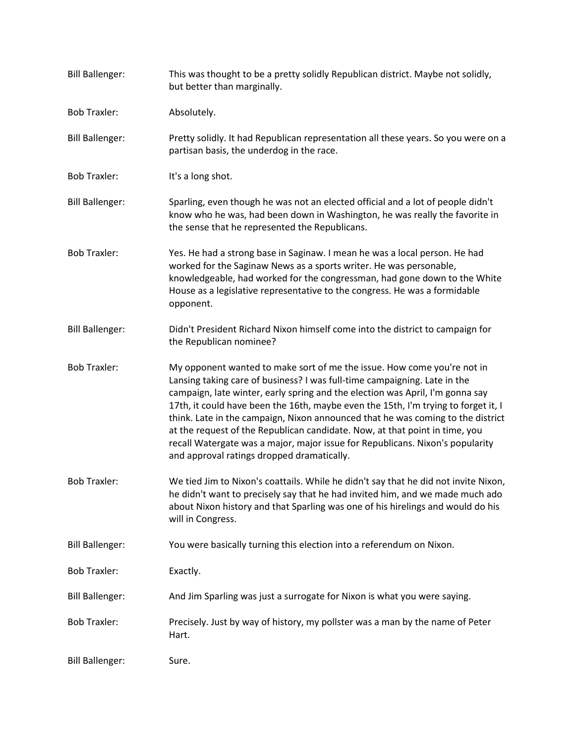| <b>Bill Ballenger:</b> | This was thought to be a pretty solidly Republican district. Maybe not solidly,<br>but better than marginally.                                                                                                                                                                                                                                                                                                                                                                                                                                                                                                               |
|------------------------|------------------------------------------------------------------------------------------------------------------------------------------------------------------------------------------------------------------------------------------------------------------------------------------------------------------------------------------------------------------------------------------------------------------------------------------------------------------------------------------------------------------------------------------------------------------------------------------------------------------------------|
| <b>Bob Traxler:</b>    | Absolutely.                                                                                                                                                                                                                                                                                                                                                                                                                                                                                                                                                                                                                  |
| <b>Bill Ballenger:</b> | Pretty solidly. It had Republican representation all these years. So you were on a<br>partisan basis, the underdog in the race.                                                                                                                                                                                                                                                                                                                                                                                                                                                                                              |
| <b>Bob Traxler:</b>    | It's a long shot.                                                                                                                                                                                                                                                                                                                                                                                                                                                                                                                                                                                                            |
| <b>Bill Ballenger:</b> | Sparling, even though he was not an elected official and a lot of people didn't<br>know who he was, had been down in Washington, he was really the favorite in<br>the sense that he represented the Republicans.                                                                                                                                                                                                                                                                                                                                                                                                             |
| <b>Bob Traxler:</b>    | Yes. He had a strong base in Saginaw. I mean he was a local person. He had<br>worked for the Saginaw News as a sports writer. He was personable,<br>knowledgeable, had worked for the congressman, had gone down to the White<br>House as a legislative representative to the congress. He was a formidable<br>opponent.                                                                                                                                                                                                                                                                                                     |
| <b>Bill Ballenger:</b> | Didn't President Richard Nixon himself come into the district to campaign for<br>the Republican nominee?                                                                                                                                                                                                                                                                                                                                                                                                                                                                                                                     |
| <b>Bob Traxler:</b>    | My opponent wanted to make sort of me the issue. How come you're not in<br>Lansing taking care of business? I was full-time campaigning. Late in the<br>campaign, late winter, early spring and the election was April, I'm gonna say<br>17th, it could have been the 16th, maybe even the 15th, I'm trying to forget it, I<br>think. Late in the campaign, Nixon announced that he was coming to the district<br>at the request of the Republican candidate. Now, at that point in time, you<br>recall Watergate was a major, major issue for Republicans. Nixon's popularity<br>and approval ratings dropped dramatically. |
| <b>Bob Traxler:</b>    | We tied Jim to Nixon's coattails. While he didn't say that he did not invite Nixon,<br>he didn't want to precisely say that he had invited him, and we made much ado<br>about Nixon history and that Sparling was one of his hirelings and would do his<br>will in Congress.                                                                                                                                                                                                                                                                                                                                                 |
| <b>Bill Ballenger:</b> | You were basically turning this election into a referendum on Nixon.                                                                                                                                                                                                                                                                                                                                                                                                                                                                                                                                                         |
| <b>Bob Traxler:</b>    | Exactly.                                                                                                                                                                                                                                                                                                                                                                                                                                                                                                                                                                                                                     |
| <b>Bill Ballenger:</b> | And Jim Sparling was just a surrogate for Nixon is what you were saying.                                                                                                                                                                                                                                                                                                                                                                                                                                                                                                                                                     |
| <b>Bob Traxler:</b>    | Precisely. Just by way of history, my pollster was a man by the name of Peter<br>Hart.                                                                                                                                                                                                                                                                                                                                                                                                                                                                                                                                       |
| <b>Bill Ballenger:</b> | Sure.                                                                                                                                                                                                                                                                                                                                                                                                                                                                                                                                                                                                                        |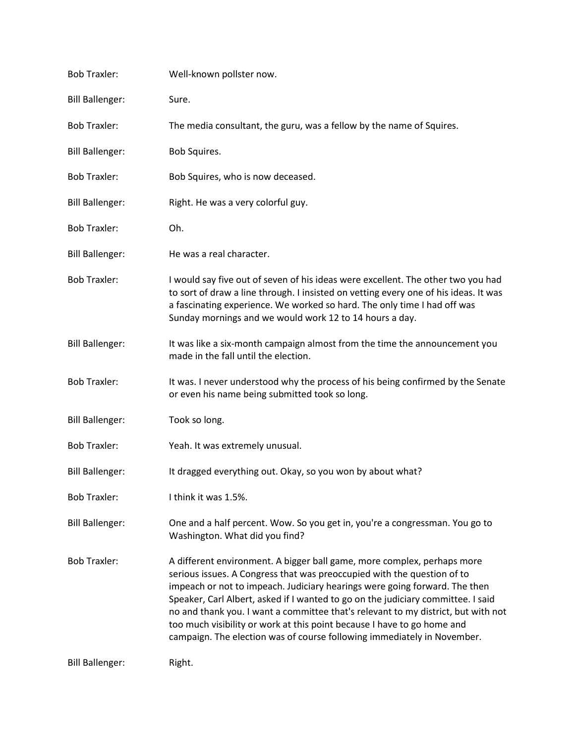| <b>Bob Traxler:</b>    | Well-known pollster now.                                                                                                                                                                                                                                                                                                                                                                                                                                                                                                                                        |
|------------------------|-----------------------------------------------------------------------------------------------------------------------------------------------------------------------------------------------------------------------------------------------------------------------------------------------------------------------------------------------------------------------------------------------------------------------------------------------------------------------------------------------------------------------------------------------------------------|
| <b>Bill Ballenger:</b> | Sure.                                                                                                                                                                                                                                                                                                                                                                                                                                                                                                                                                           |
| <b>Bob Traxler:</b>    | The media consultant, the guru, was a fellow by the name of Squires.                                                                                                                                                                                                                                                                                                                                                                                                                                                                                            |
| <b>Bill Ballenger:</b> | Bob Squires.                                                                                                                                                                                                                                                                                                                                                                                                                                                                                                                                                    |
| <b>Bob Traxler:</b>    | Bob Squires, who is now deceased.                                                                                                                                                                                                                                                                                                                                                                                                                                                                                                                               |
| <b>Bill Ballenger:</b> | Right. He was a very colorful guy.                                                                                                                                                                                                                                                                                                                                                                                                                                                                                                                              |
| <b>Bob Traxler:</b>    | Oh.                                                                                                                                                                                                                                                                                                                                                                                                                                                                                                                                                             |
| <b>Bill Ballenger:</b> | He was a real character.                                                                                                                                                                                                                                                                                                                                                                                                                                                                                                                                        |
| <b>Bob Traxler:</b>    | I would say five out of seven of his ideas were excellent. The other two you had<br>to sort of draw a line through. I insisted on vetting every one of his ideas. It was<br>a fascinating experience. We worked so hard. The only time I had off was<br>Sunday mornings and we would work 12 to 14 hours a day.                                                                                                                                                                                                                                                 |
| <b>Bill Ballenger:</b> | It was like a six-month campaign almost from the time the announcement you<br>made in the fall until the election.                                                                                                                                                                                                                                                                                                                                                                                                                                              |
| <b>Bob Traxler:</b>    | It was. I never understood why the process of his being confirmed by the Senate<br>or even his name being submitted took so long.                                                                                                                                                                                                                                                                                                                                                                                                                               |
| <b>Bill Ballenger:</b> | Took so long.                                                                                                                                                                                                                                                                                                                                                                                                                                                                                                                                                   |
| <b>Bob Traxler:</b>    | Yeah. It was extremely unusual.                                                                                                                                                                                                                                                                                                                                                                                                                                                                                                                                 |
| <b>Bill Ballenger:</b> | It dragged everything out. Okay, so you won by about what?                                                                                                                                                                                                                                                                                                                                                                                                                                                                                                      |
| <b>Bob Traxler:</b>    | I think it was 1.5%.                                                                                                                                                                                                                                                                                                                                                                                                                                                                                                                                            |
| <b>Bill Ballenger:</b> | One and a half percent. Wow. So you get in, you're a congressman. You go to<br>Washington. What did you find?                                                                                                                                                                                                                                                                                                                                                                                                                                                   |
| <b>Bob Traxler:</b>    | A different environment. A bigger ball game, more complex, perhaps more<br>serious issues. A Congress that was preoccupied with the question of to<br>impeach or not to impeach. Judiciary hearings were going forward. The then<br>Speaker, Carl Albert, asked if I wanted to go on the judiciary committee. I said<br>no and thank you. I want a committee that's relevant to my district, but with not<br>too much visibility or work at this point because I have to go home and<br>campaign. The election was of course following immediately in November. |
| <b>Bill Ballenger:</b> | Right.                                                                                                                                                                                                                                                                                                                                                                                                                                                                                                                                                          |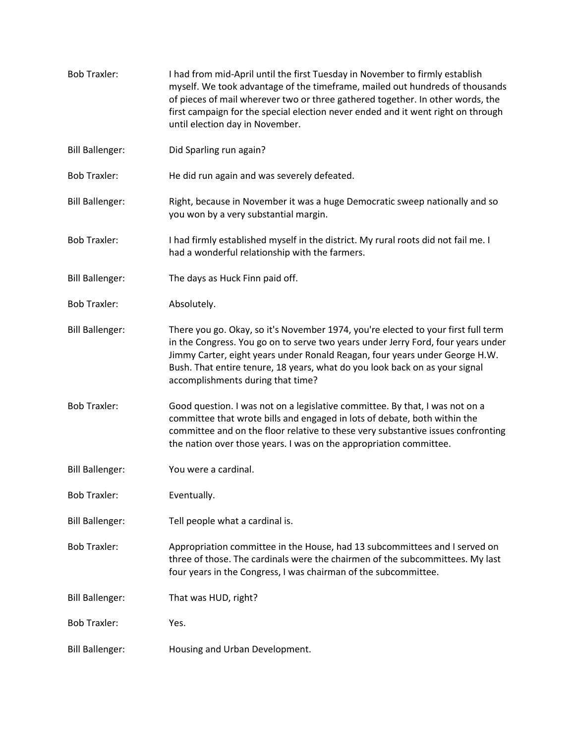[Bob Traxler:](https://www.rev.com/transcript-editor/Edit?token=J0YN_WP0dMz6L1QdcJuJM21Y-e-J_Phk0huPo5YfBHIFqNNBbh810OofORj_Th5RuBeOOZ4jiBk3Ibag2GlboUYvYWI&loadFrom=DocumentSpeakerNameDeeplink&ts=473.8) I had from mid-April until the first Tuesday in November to firmly establish myself. We took advantage of the timeframe, mailed out hundreds of thousands of pieces of mail wherever two or three gathered together. In other words, the first campaign for the special election never ended and it went right on through until election day in November. [Bill Ballenger:](https://www.rev.com/transcript-editor/Edit?token=Ap-7fV2Ef0zucKUZ4kNFA-sKj6UARBCcZy1qK2HAOdrgdYFX1nEhgec9NPjV-qjFSB4grQwZ2zBs1Pjbr1NeYIRPJ-Y&loadFrom=DocumentSpeakerNameDeeplink&ts=496.62) Did Sparling run again? [Bob Traxler:](https://www.rev.com/transcript-editor/Edit?token=hD3-lbJ4-l9lOY3sL86HuyS1yro2oHJbThWYRClF0YiC0fdoS5PPUOzDQhTfd46sZmaPkBJxowlTCD4LYc8FCTUj2wA&loadFrom=DocumentSpeakerNameDeeplink&ts=498.55) He did run again and was severely defeated. [Bill Ballenger:](https://www.rev.com/transcript-editor/Edit?token=fvcS0PkHxqIrcbY8G3WLTtmrUrLbiEFebK3RD8zmFZc_19Du5eUaCebSECY9BBaqyfg6u_rz--oUv2nWNUXCf8q7iu4&loadFrom=DocumentSpeakerNameDeeplink&ts=502.15) Right, because in November it was a huge Democratic sweep nationally and so you won by a very substantial margin. [Bob Traxler:](https://www.rev.com/transcript-editor/Edit?token=ZGJvxWu6bL4sJUFGoMF2VUkByzTMEPlU73TZ4y9xWqIWC_ThZ14IHAK7N26nZI-du-jiA2QpLBjz-nbJRqCFpp7uad0&loadFrom=DocumentSpeakerNameDeeplink&ts=510.51) I had firmly established myself in the district. My rural roots did not fail me. I had a wonderful relationship with the farmers. [Bill Ballenger:](https://www.rev.com/transcript-editor/Edit?token=j3k1SzxetOGOFf3sjPfv7MbY2ON_WVXsTUAXgEjkjyvI-XfCgAfTBJAQNWa5yMZ8nJwaiDUSAk4zgUsxRgRvo_kubX4&loadFrom=DocumentSpeakerNameDeeplink&ts=519.2) The days as Huck Finn paid off. [Bob Traxler:](https://www.rev.com/transcript-editor/Edit?token=_PTikIrCYhtkMf8kFVIieIoqLVK3aFmuy3zR1WDaTFPO664ZIuG6e7C0ZP7raVJlpwdNLsr_C6zBgb2A92chLFbrHDg&loadFrom=DocumentSpeakerNameDeeplink&ts=521.71) Absolutely. [Bill Ballenger:](https://www.rev.com/transcript-editor/Edit?token=--o5fhNl6SOiN0XxT7zFWpXUBWHpcdKb6u370776SoDDDgROV17fRn9ae49sFOKyp1QtiYGuCYluCzASq8MN8ph5oAs&loadFrom=DocumentSpeakerNameDeeplink&ts=522.51) There you go. Okay, so it's November 1974, you're elected to your first full term in the Congress. You go on to serve two years under Jerry Ford, four years under Jimmy Carter, eight years under Ronald Reagan, four years under George H.W. Bush. That entire tenure, 18 years, what do you look back on as your signal accomplishments during that time? [Bob Traxler:](https://www.rev.com/transcript-editor/Edit?token=jZZx9PIRR9wmzT49Mz_vDB4wioHNcJ_0TGvxMANiuGhMqLl1WldA52F8rV_fc0U7GM3uYpbqcqMUvj3Kp6ws8X4IPTk&loadFrom=DocumentSpeakerNameDeeplink&ts=548.53) Good question. I was not on a legislative committee. By that, I was not on a committee that wrote bills and engaged in lots of debate, both within the committee and on the floor relative to these very substantive issues confronting the nation over those years. I was on the appropriation committee. [Bill Ballenger:](https://www.rev.com/transcript-editor/Edit?token=zyiZDyKmthPmUmtiZ6ZqUy_RA24V46ZKIBuZGr2XqXOvThlX8KAOEYtGYOqnpbG_NCQjIS8C6X02YEWny4WA__caYhQ&loadFrom=DocumentSpeakerNameDeeplink&ts=572.33) You were a cardinal. [Bob Traxler:](https://www.rev.com/transcript-editor/Edit?token=0ctv_hWHvOCsPH8MxzLE9L0Jl7c2XT-L0pxYcYSZUMitfiyCom83fyvqIoxXAsqXO6-tfGF5LCmzASM1xBLqmYIsFSg&loadFrom=DocumentSpeakerNameDeeplink&ts=573.81) Eventually. [Bill Ballenger:](https://www.rev.com/transcript-editor/Edit?token=s9_Sf_fsEtkduj_aRhq5Oy5svZPEns594r3yt6xDQ42oGPkcEk9Zs8mxz4cs-xFRBdW_im9DtzW8XdBX6PzEo7eHamE&loadFrom=DocumentSpeakerNameDeeplink&ts=574.6) Tell people what a cardinal is. [Bob Traxler:](https://www.rev.com/transcript-editor/Edit?token=M5C2v-MN4Ob1Ps2-a2YJV0qcQlt9u5MYBrodIpW-fXH6w78SZmT0ObFk_WQB70neZXzLulw7TOBzhuOLburVjcknM38&loadFrom=DocumentSpeakerNameDeeplink&ts=576.91) Appropriation committee in the House, had 13 subcommittees and I served on three of those. The cardinals were the chairmen of the subcommittees. My last four years in the Congress, I was chairman of the subcommittee. [Bill Ballenger:](https://www.rev.com/transcript-editor/Edit?token=n5dvjGjzOHzELZ4FXvn0itmmqwJS66vYzsOoueq_cAVgFxDjwl97aczWpSH5Xh1T33CnZJZ_n2Fuj-v_rvCv4A-1Nqs&loadFrom=DocumentSpeakerNameDeeplink&ts=595.57) That was HUD, right? [Bob Traxler:](https://www.rev.com/transcript-editor/Edit?token=KhzJ7qFtYC9nhKbqbTqBEaXORy2bd7ZOZ5SaOphCXLOoyJUTwkqU6_iPYgwzhFu1KYv-MzLIfD_o7WQamr0w2rrOgSM&loadFrom=DocumentSpeakerNameDeeplink&ts=596.95) Yes. [Bill Ballenger:](https://www.rev.com/transcript-editor/Edit?token=mZUdG4PE179VGFmvuJ42Trr2-1U-5h8L8sUFxikfmRSI2dEr0JNISa-EZAzyAq-tF_0nAAbkAazmhQ2WFuos7tdXPm0&loadFrom=DocumentSpeakerNameDeeplink&ts=597.22) Housing and Urban Development.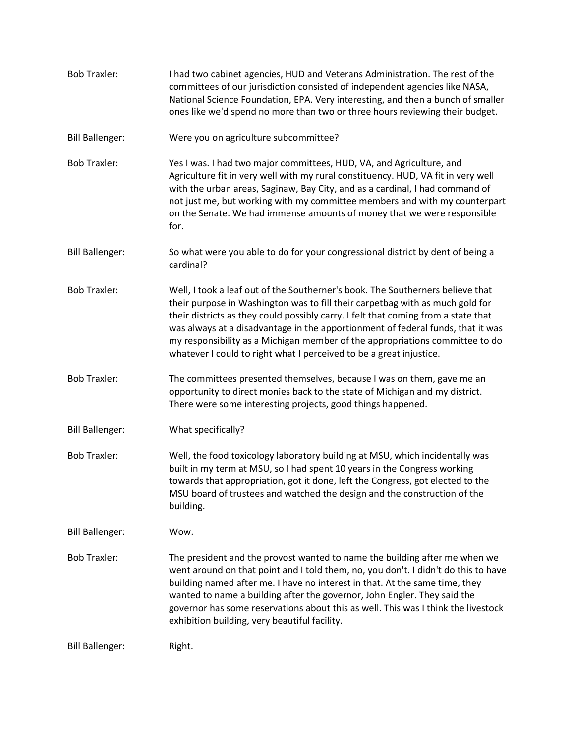| <b>Bob Traxler:</b>    | I had two cabinet agencies, HUD and Veterans Administration. The rest of the<br>committees of our jurisdiction consisted of independent agencies like NASA,<br>National Science Foundation, EPA. Very interesting, and then a bunch of smaller<br>ones like we'd spend no more than two or three hours reviewing their budget.                                                                                                                                                                  |
|------------------------|-------------------------------------------------------------------------------------------------------------------------------------------------------------------------------------------------------------------------------------------------------------------------------------------------------------------------------------------------------------------------------------------------------------------------------------------------------------------------------------------------|
| <b>Bill Ballenger:</b> | Were you on agriculture subcommittee?                                                                                                                                                                                                                                                                                                                                                                                                                                                           |
| <b>Bob Traxler:</b>    | Yes I was. I had two major committees, HUD, VA, and Agriculture, and<br>Agriculture fit in very well with my rural constituency. HUD, VA fit in very well<br>with the urban areas, Saginaw, Bay City, and as a cardinal, I had command of<br>not just me, but working with my committee members and with my counterpart<br>on the Senate. We had immense amounts of money that we were responsible<br>for.                                                                                      |
| <b>Bill Ballenger:</b> | So what were you able to do for your congressional district by dent of being a<br>cardinal?                                                                                                                                                                                                                                                                                                                                                                                                     |
| <b>Bob Traxler:</b>    | Well, I took a leaf out of the Southerner's book. The Southerners believe that<br>their purpose in Washington was to fill their carpetbag with as much gold for<br>their districts as they could possibly carry. I felt that coming from a state that<br>was always at a disadvantage in the apportionment of federal funds, that it was<br>my responsibility as a Michigan member of the appropriations committee to do<br>whatever I could to right what I perceived to be a great injustice. |
| <b>Bob Traxler:</b>    | The committees presented themselves, because I was on them, gave me an<br>opportunity to direct monies back to the state of Michigan and my district.<br>There were some interesting projects, good things happened.                                                                                                                                                                                                                                                                            |
| <b>Bill Ballenger:</b> | What specifically?                                                                                                                                                                                                                                                                                                                                                                                                                                                                              |
| <b>Bob Traxler:</b>    | Well, the food toxicology laboratory building at MSU, which incidentally was<br>built in my term at MSU, so I had spent 10 years in the Congress working<br>towards that appropriation, got it done, left the Congress, got elected to the<br>MSU board of trustees and watched the design and the construction of the<br>building.                                                                                                                                                             |
| <b>Bill Ballenger:</b> | Wow.                                                                                                                                                                                                                                                                                                                                                                                                                                                                                            |
| <b>Bob Traxler:</b>    | The president and the provost wanted to name the building after me when we<br>went around on that point and I told them, no, you don't. I didn't do this to have<br>building named after me. I have no interest in that. At the same time, they<br>wanted to name a building after the governor, John Engler. They said the<br>governor has some reservations about this as well. This was I think the livestock<br>exhibition building, very beautiful facility.                               |
| <b>Bill Ballenger:</b> | Right.                                                                                                                                                                                                                                                                                                                                                                                                                                                                                          |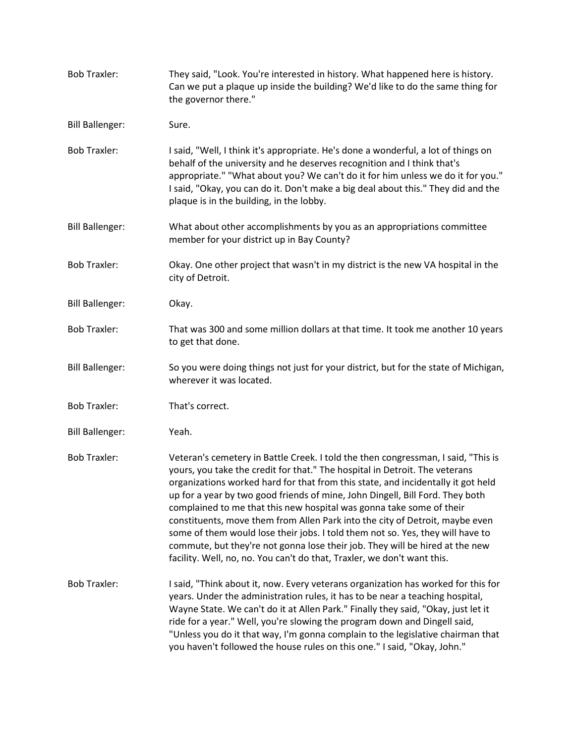| <b>Bob Traxler:</b>    | They said, "Look. You're interested in history. What happened here is history.<br>Can we put a plaque up inside the building? We'd like to do the same thing for<br>the governor there."                                                                                                                                                                                                                                                                                                                                                                                                                                                                                                                                                   |
|------------------------|--------------------------------------------------------------------------------------------------------------------------------------------------------------------------------------------------------------------------------------------------------------------------------------------------------------------------------------------------------------------------------------------------------------------------------------------------------------------------------------------------------------------------------------------------------------------------------------------------------------------------------------------------------------------------------------------------------------------------------------------|
| <b>Bill Ballenger:</b> | Sure.                                                                                                                                                                                                                                                                                                                                                                                                                                                                                                                                                                                                                                                                                                                                      |
| <b>Bob Traxler:</b>    | I said, "Well, I think it's appropriate. He's done a wonderful, a lot of things on<br>behalf of the university and he deserves recognition and I think that's<br>appropriate." "What about you? We can't do it for him unless we do it for you."<br>I said, "Okay, you can do it. Don't make a big deal about this." They did and the<br>plaque is in the building, in the lobby.                                                                                                                                                                                                                                                                                                                                                          |
| <b>Bill Ballenger:</b> | What about other accomplishments by you as an appropriations committee<br>member for your district up in Bay County?                                                                                                                                                                                                                                                                                                                                                                                                                                                                                                                                                                                                                       |
| <b>Bob Traxler:</b>    | Okay. One other project that wasn't in my district is the new VA hospital in the<br>city of Detroit.                                                                                                                                                                                                                                                                                                                                                                                                                                                                                                                                                                                                                                       |
| <b>Bill Ballenger:</b> | Okay.                                                                                                                                                                                                                                                                                                                                                                                                                                                                                                                                                                                                                                                                                                                                      |
| <b>Bob Traxler:</b>    | That was 300 and some million dollars at that time. It took me another 10 years<br>to get that done.                                                                                                                                                                                                                                                                                                                                                                                                                                                                                                                                                                                                                                       |
| <b>Bill Ballenger:</b> | So you were doing things not just for your district, but for the state of Michigan,<br>wherever it was located.                                                                                                                                                                                                                                                                                                                                                                                                                                                                                                                                                                                                                            |
| <b>Bob Traxler:</b>    | That's correct.                                                                                                                                                                                                                                                                                                                                                                                                                                                                                                                                                                                                                                                                                                                            |
| <b>Bill Ballenger:</b> | Yeah.                                                                                                                                                                                                                                                                                                                                                                                                                                                                                                                                                                                                                                                                                                                                      |
| <b>Bob Traxler:</b>    | Veteran's cemetery in Battle Creek. I told the then congressman, I said, "This is<br>yours, you take the credit for that." The hospital in Detroit. The veterans<br>organizations worked hard for that from this state, and incidentally it got held<br>up for a year by two good friends of mine, John Dingell, Bill Ford. They both<br>complained to me that this new hospital was gonna take some of their<br>constituents, move them from Allen Park into the city of Detroit, maybe even<br>some of them would lose their jobs. I told them not so. Yes, they will have to<br>commute, but they're not gonna lose their job. They will be hired at the new<br>facility. Well, no, no. You can't do that, Traxler, we don't want this. |
| <b>Bob Traxler:</b>    | I said, "Think about it, now. Every veterans organization has worked for this for<br>years. Under the administration rules, it has to be near a teaching hospital,<br>Wayne State. We can't do it at Allen Park." Finally they said, "Okay, just let it<br>ride for a year." Well, you're slowing the program down and Dingell said,<br>"Unless you do it that way, I'm gonna complain to the legislative chairman that<br>you haven't followed the house rules on this one." I said, "Okay, John."                                                                                                                                                                                                                                        |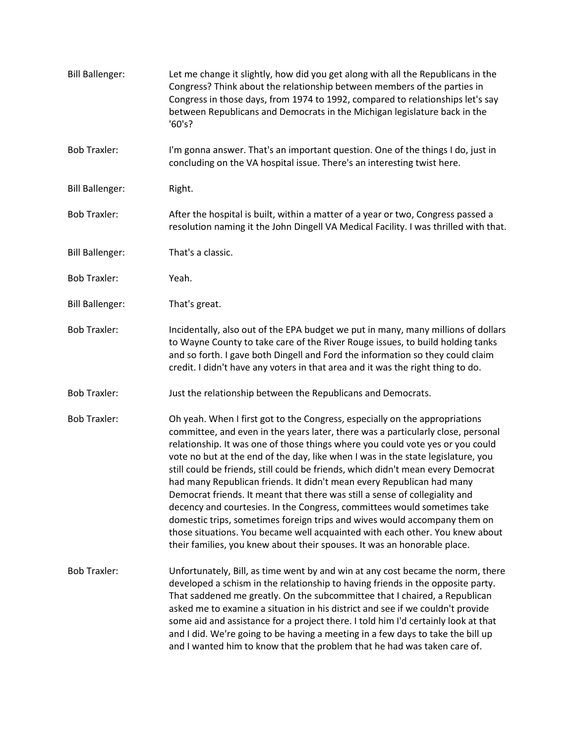| <b>Bill Ballenger:</b> | Let me change it slightly, how did you get along with all the Republicans in the<br>Congress? Think about the relationship between members of the parties in<br>Congress in those days, from 1974 to 1992, compared to relationships let's say<br>between Republicans and Democrats in the Michigan legislature back in the<br>'60's?                                                                                                                                                                                                                                                                                                                                                                                                                                                                                                                                                                  |
|------------------------|--------------------------------------------------------------------------------------------------------------------------------------------------------------------------------------------------------------------------------------------------------------------------------------------------------------------------------------------------------------------------------------------------------------------------------------------------------------------------------------------------------------------------------------------------------------------------------------------------------------------------------------------------------------------------------------------------------------------------------------------------------------------------------------------------------------------------------------------------------------------------------------------------------|
| <b>Bob Traxler:</b>    | I'm gonna answer. That's an important question. One of the things I do, just in<br>concluding on the VA hospital issue. There's an interesting twist here.                                                                                                                                                                                                                                                                                                                                                                                                                                                                                                                                                                                                                                                                                                                                             |
| <b>Bill Ballenger:</b> | Right.                                                                                                                                                                                                                                                                                                                                                                                                                                                                                                                                                                                                                                                                                                                                                                                                                                                                                                 |
| <b>Bob Traxler:</b>    | After the hospital is built, within a matter of a year or two, Congress passed a<br>resolution naming it the John Dingell VA Medical Facility. I was thrilled with that.                                                                                                                                                                                                                                                                                                                                                                                                                                                                                                                                                                                                                                                                                                                               |
| <b>Bill Ballenger:</b> | That's a classic.                                                                                                                                                                                                                                                                                                                                                                                                                                                                                                                                                                                                                                                                                                                                                                                                                                                                                      |
| <b>Bob Traxler:</b>    | Yeah.                                                                                                                                                                                                                                                                                                                                                                                                                                                                                                                                                                                                                                                                                                                                                                                                                                                                                                  |
| <b>Bill Ballenger:</b> | That's great.                                                                                                                                                                                                                                                                                                                                                                                                                                                                                                                                                                                                                                                                                                                                                                                                                                                                                          |
| <b>Bob Traxler:</b>    | Incidentally, also out of the EPA budget we put in many, many millions of dollars<br>to Wayne County to take care of the River Rouge issues, to build holding tanks<br>and so forth. I gave both Dingell and Ford the information so they could claim<br>credit. I didn't have any voters in that area and it was the right thing to do.                                                                                                                                                                                                                                                                                                                                                                                                                                                                                                                                                               |
| <b>Bob Traxler:</b>    | Just the relationship between the Republicans and Democrats.                                                                                                                                                                                                                                                                                                                                                                                                                                                                                                                                                                                                                                                                                                                                                                                                                                           |
| <b>Bob Traxler:</b>    | Oh yeah. When I first got to the Congress, especially on the appropriations<br>committee, and even in the years later, there was a particularly close, personal<br>relationship. It was one of those things where you could vote yes or you could<br>vote no but at the end of the day, like when I was in the state legislature, you<br>still could be friends, still could be friends, which didn't mean every Democrat<br>had many Republican friends. It didn't mean every Republican had many<br>Democrat friends. It meant that there was still a sense of collegiality and<br>decency and courtesies. In the Congress, committees would sometimes take<br>domestic trips, sometimes foreign trips and wives would accompany them on<br>those situations. You became well acquainted with each other. You knew about<br>their families, you knew about their spouses. It was an honorable place. |
| <b>Bob Traxler:</b>    | Unfortunately, Bill, as time went by and win at any cost became the norm, there<br>developed a schism in the relationship to having friends in the opposite party.<br>That saddened me greatly. On the subcommittee that I chaired, a Republican<br>asked me to examine a situation in his district and see if we couldn't provide<br>some aid and assistance for a project there. I told him I'd certainly look at that<br>and I did. We're going to be having a meeting in a few days to take the bill up<br>and I wanted him to know that the problem that he had was taken care of.                                                                                                                                                                                                                                                                                                                |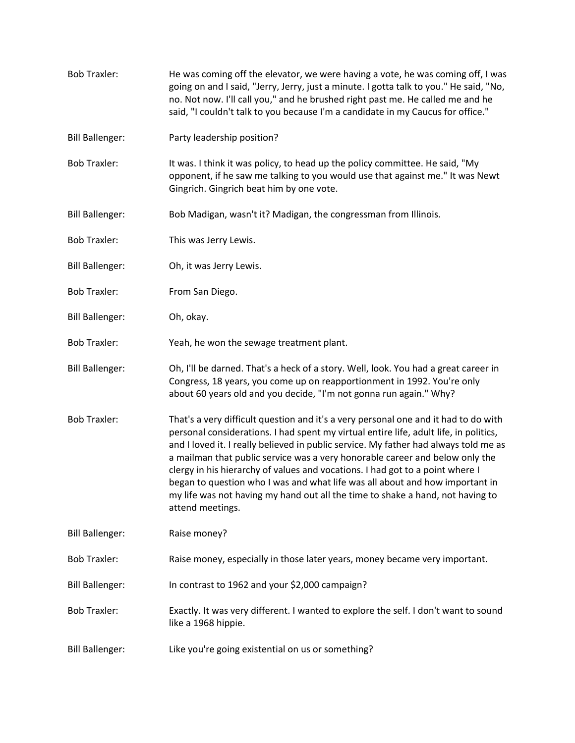[Bob Traxler:](https://www.rev.com/transcript-editor/Edit?token=fOI1XctRvKHNCvytnp2JQrVrzrKdKmnrib-0_3xZXHKxWr3-5pRf4rOKbM5a__3QHiJSQlnki-fLoKNoheXcR4N0gyw&loadFrom=DocumentSpeakerNameDeeplink&ts=1115.66) He was coming off the elevator, we were having a vote, he was coming off, I was going on and I said, "Jerry, Jerry, just a minute. I gotta talk to you." He said, "No, no. Not now. I'll call you," and he brushed right past me. He called me and he said, "I couldn't talk to you because I'm a candidate in my Caucus for office." [Bill Ballenger:](https://www.rev.com/transcript-editor/Edit?token=bH_ZJ-AihjYS-50sQcKbXQUCN06CPwwPEyI4jdpIsWd4WrFoTbZACBln42rEnmSrPVVenmk0CYH9Gwleeuz9P8EV0qc&loadFrom=DocumentSpeakerNameDeeplink&ts=1140.21) Party leadership position? [Bob Traxler:](https://www.rev.com/transcript-editor/Edit?token=IcSo7qS-YF7k-DuG_uIq793TVX2wdWCTvddFZEQHiEkFJRMs6Qab9WkgXkeD2YD7RgWLnATnRA8sXT3H3wU20fh-3Ls&loadFrom=DocumentSpeakerNameDeeplink&ts=1141.5) It was. I think it was policy, to head up the policy committee. He said, "My opponent, if he saw me talking to you would use that against me." It was Newt Gingrich. Gingrich beat him by one vote. [Bill Ballenger:](https://www.rev.com/transcript-editor/Edit?token=wg9p6cIbWKBPdWVjcPbGikHNmXzZQJRc7nzKmVHdT4b04inJwEocBbcj5BkrPIeEcVamKUBi-W-dx658ej1sEpCFQ7o&loadFrom=DocumentSpeakerNameDeeplink&ts=1158.69) Bob Madigan, wasn't it? Madigan, the congressman from Illinois. [Bob Traxler:](https://www.rev.com/transcript-editor/Edit?token=n4RdkxIIayvoFE-vPyeN3z_yDGluMtUA9h9X510lPX_3tcPwk7TSnnVU9UgjVhijtOQ36nxnmkRPMtqvusrb5lcoTXE&loadFrom=DocumentSpeakerNameDeeplink&ts=1163.6) This was Jerry Lewis. [Bill Ballenger:](https://www.rev.com/transcript-editor/Edit?token=iXJvFsHpepJrhKmpgmXPpsHFsgjfHsA28i7YV-WLEzDydIs59l6kPCVfreJ1pdla1iLrcgUIVQc9CywwmY1GXaq5xj0&loadFrom=DocumentSpeakerNameDeeplink&ts=1165.06) Oh, it was Jerry Lewis. [Bob Traxler:](https://www.rev.com/transcript-editor/Edit?token=tmVcGOc6zWwtuY7frFmZrGwV79u9lSyBg0ySNBwJn57ne6NxQqsBDLTVL48gx45xKtz9sJE_VaC21BxaRdSGGtr6I30&loadFrom=DocumentSpeakerNameDeeplink&ts=1166.23) From San Diego. [Bill Ballenger:](https://www.rev.com/transcript-editor/Edit?token=psgS_-9gbFkup4FMc50dJWhpWQoa9Cnswu9mvnAYDuDhlESXLytaf8JdI6SjesE8uza7bs_oVBCE1Ox8V7YegC5uHT4&loadFrom=DocumentSpeakerNameDeeplink&ts=1167.21) Oh, okay. [Bob Traxler:](https://www.rev.com/transcript-editor/Edit?token=-w_X9_XUMKcVpLrVCc5k-JnKybEKt1mwJgUHxmdo0teLWQh4f56OKG2TVqCp7P8brje5JiEoXX6LhsmzguycUJ-OsFg&loadFrom=DocumentSpeakerNameDeeplink&ts=1168.22) Yeah, he won the sewage treatment plant. [Bill Ballenger:](https://www.rev.com/transcript-editor/Edit?token=0vLiZDF2HW0ie6c79b-FU6Vt2CuTYP1wJwY6Y2LYbPCqFibo5iIykHR-v3dX1yeRJm9NYcLlEgCAh_qRtdzvi2aGy2I&loadFrom=DocumentSpeakerNameDeeplink&ts=1170.05) Oh, I'll be darned. That's a heck of a story. Well, look. You had a great career in Congress, 18 years, you come up on reapportionment in 1992. You're only about 60 years old and you decide, "I'm not gonna run again." Why? [Bob Traxler:](https://www.rev.com/transcript-editor/Edit?token=3V0H7LtD-Fyzhto0F-ecqr6QmcwmQnDoU32vpcAM9BuY7Z8n280im9PGgrg4duwqDTuqtRL4JENQ79r0W51w5MzFpr8&loadFrom=DocumentSpeakerNameDeeplink&ts=1186.82) That's a very difficult question and it's a very personal one and it had to do with personal considerations. I had spent my virtual entire life, adult life, in politics, and I loved it. I really believed in public service. My father had always told me as a mailman that public service was a very honorable career and below only the clergy in his hierarchy of values and vocations. I had got to a point where I began to question who I was and what life was all about and how important in my life was not having my hand out all the time to shake a hand, not having to attend meetings. [Bill Ballenger:](https://www.rev.com/transcript-editor/Edit?token=MKHhrRwLqqLZFsuaYQCZwM8x-3mAL5PmvlD7YBVR_vziMWFUXIJLcIEGYIUyUFHiZXIBQ3HirbAFh1DJSw72bfzpxJQ&loadFrom=DocumentSpeakerNameDeeplink&ts=1249.58) Raise money? [Bob Traxler:](https://www.rev.com/transcript-editor/Edit?token=AxsLkVhV1yYeXInUQDG0CAbqbOALhKfUeP-BvtAT-5XvsF6TLlThojPKPXTVFzdxONDW-FooQKU6uYye-3PTlaHbYR4&loadFrom=DocumentSpeakerNameDeeplink&ts=1250.55) Raise money, especially in those later years, money became very important. [Bill Ballenger:](https://www.rev.com/transcript-editor/Edit?token=ryO3rS2_7VhdxwNuhi6YjJFIywYcns6XSWcmq-mCgjcOUrY4mm8iTRqZi2-fXdKiPIqWCai3dgINggf1UENYg6UrsjE&loadFrom=DocumentSpeakerNameDeeplink&ts=1254.9) In contrast to 1962 and your \$2,000 campaign? [Bob Traxler:](https://www.rev.com/transcript-editor/Edit?token=0DAqJqaSrUCY66PFsQ7-ABwhV3APsmACd0p4Y6tKosBT42SymutAqWvNIlKwxfPUq9g-oguX2RjoV4vGz_os8CgEedI&loadFrom=DocumentSpeakerNameDeeplink&ts=1258.62) Exactly. It was very different. I wanted to explore the self. I don't want to sound like a 1968 hippie. [Bill Ballenger:](https://www.rev.com/transcript-editor/Edit?token=Vel3u6Li-MmWgcf5U8hcZfm6QqlyL8MsnS5pwUZFAlp8uAsOBe64meWUfsQstON5Y4JjAF-mtYnix8Toldfiata4e6g&loadFrom=DocumentSpeakerNameDeeplink&ts=1270.09) Like you're going existential on us or something?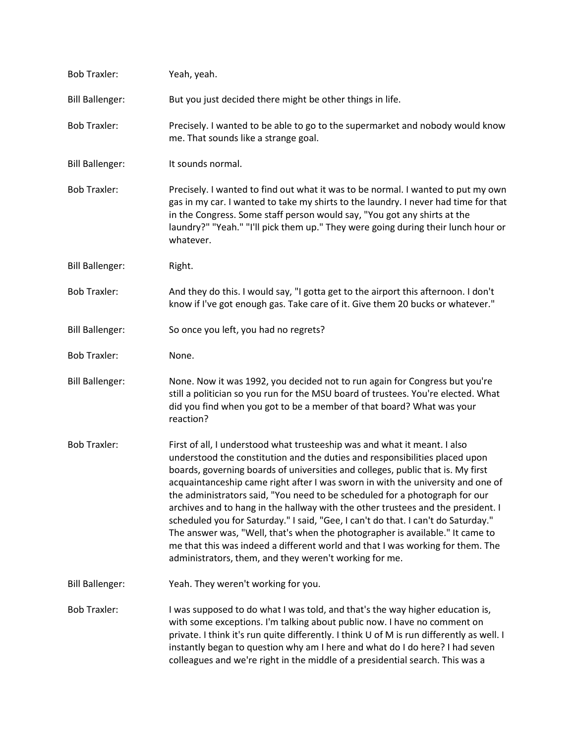| <b>Bob Traxler:</b>    | Yeah, yeah.                                                                                                                                                                                                                                                                                                                                                                                                                                                                                                                                                                                                                                                                                                                                                                                                         |
|------------------------|---------------------------------------------------------------------------------------------------------------------------------------------------------------------------------------------------------------------------------------------------------------------------------------------------------------------------------------------------------------------------------------------------------------------------------------------------------------------------------------------------------------------------------------------------------------------------------------------------------------------------------------------------------------------------------------------------------------------------------------------------------------------------------------------------------------------|
| <b>Bill Ballenger:</b> | But you just decided there might be other things in life.                                                                                                                                                                                                                                                                                                                                                                                                                                                                                                                                                                                                                                                                                                                                                           |
| <b>Bob Traxler:</b>    | Precisely. I wanted to be able to go to the supermarket and nobody would know<br>me. That sounds like a strange goal.                                                                                                                                                                                                                                                                                                                                                                                                                                                                                                                                                                                                                                                                                               |
| <b>Bill Ballenger:</b> | It sounds normal.                                                                                                                                                                                                                                                                                                                                                                                                                                                                                                                                                                                                                                                                                                                                                                                                   |
| <b>Bob Traxler:</b>    | Precisely. I wanted to find out what it was to be normal. I wanted to put my own<br>gas in my car. I wanted to take my shirts to the laundry. I never had time for that<br>in the Congress. Some staff person would say, "You got any shirts at the<br>laundry?" "Yeah." "I'll pick them up." They were going during their lunch hour or<br>whatever.                                                                                                                                                                                                                                                                                                                                                                                                                                                               |
| <b>Bill Ballenger:</b> | Right.                                                                                                                                                                                                                                                                                                                                                                                                                                                                                                                                                                                                                                                                                                                                                                                                              |
| <b>Bob Traxler:</b>    | And they do this. I would say, "I gotta get to the airport this afternoon. I don't<br>know if I've got enough gas. Take care of it. Give them 20 bucks or whatever."                                                                                                                                                                                                                                                                                                                                                                                                                                                                                                                                                                                                                                                |
| <b>Bill Ballenger:</b> | So once you left, you had no regrets?                                                                                                                                                                                                                                                                                                                                                                                                                                                                                                                                                                                                                                                                                                                                                                               |
| <b>Bob Traxler:</b>    | None.                                                                                                                                                                                                                                                                                                                                                                                                                                                                                                                                                                                                                                                                                                                                                                                                               |
| <b>Bill Ballenger:</b> | None. Now it was 1992, you decided not to run again for Congress but you're<br>still a politician so you run for the MSU board of trustees. You're elected. What<br>did you find when you got to be a member of that board? What was your<br>reaction?                                                                                                                                                                                                                                                                                                                                                                                                                                                                                                                                                              |
| <b>Bob Traxler:</b>    | First of all, I understood what trusteeship was and what it meant. I also<br>understood the constitution and the duties and responsibilities placed upon<br>boards, governing boards of universities and colleges, public that is. My first<br>acquaintanceship came right after I was sworn in with the university and one of<br>the administrators said, "You need to be scheduled for a photograph for our<br>archives and to hang in the hallway with the other trustees and the president. I<br>scheduled you for Saturday." I said, "Gee, I can't do that. I can't do Saturday."<br>The answer was, "Well, that's when the photographer is available." It came to<br>me that this was indeed a different world and that I was working for them. The<br>administrators, them, and they weren't working for me. |
| <b>Bill Ballenger:</b> | Yeah. They weren't working for you.                                                                                                                                                                                                                                                                                                                                                                                                                                                                                                                                                                                                                                                                                                                                                                                 |
| <b>Bob Traxler:</b>    | I was supposed to do what I was told, and that's the way higher education is,<br>with some exceptions. I'm talking about public now. I have no comment on<br>private. I think it's run quite differently. I think U of M is run differently as well. I<br>instantly began to question why am I here and what do I do here? I had seven<br>colleagues and we're right in the middle of a presidential search. This was a                                                                                                                                                                                                                                                                                                                                                                                             |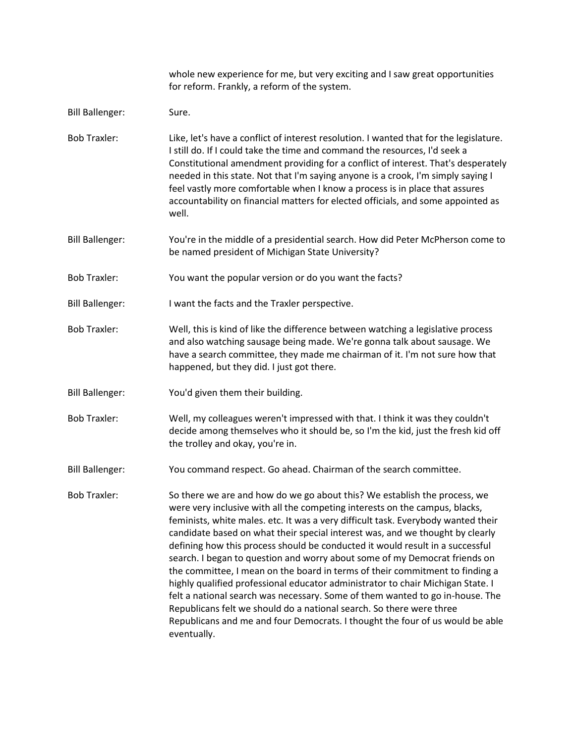|                        | whole new experience for me, but very exciting and I saw great opportunities<br>for reform. Frankly, a reform of the system.                                                                                                                                                                                                                                                                                                                                                                                                                                                                                                                                                                                                                                                                                                                                                                                              |
|------------------------|---------------------------------------------------------------------------------------------------------------------------------------------------------------------------------------------------------------------------------------------------------------------------------------------------------------------------------------------------------------------------------------------------------------------------------------------------------------------------------------------------------------------------------------------------------------------------------------------------------------------------------------------------------------------------------------------------------------------------------------------------------------------------------------------------------------------------------------------------------------------------------------------------------------------------|
| <b>Bill Ballenger:</b> | Sure.                                                                                                                                                                                                                                                                                                                                                                                                                                                                                                                                                                                                                                                                                                                                                                                                                                                                                                                     |
| <b>Bob Traxler:</b>    | Like, let's have a conflict of interest resolution. I wanted that for the legislature.<br>I still do. If I could take the time and command the resources, I'd seek a<br>Constitutional amendment providing for a conflict of interest. That's desperately<br>needed in this state. Not that I'm saying anyone is a crook, I'm simply saying I<br>feel vastly more comfortable when I know a process is in place that assures<br>accountability on financial matters for elected officials, and some appointed as<br>well.                                                                                                                                                                                                                                                                                                                                                                                                 |
| <b>Bill Ballenger:</b> | You're in the middle of a presidential search. How did Peter McPherson come to<br>be named president of Michigan State University?                                                                                                                                                                                                                                                                                                                                                                                                                                                                                                                                                                                                                                                                                                                                                                                        |
| <b>Bob Traxler:</b>    | You want the popular version or do you want the facts?                                                                                                                                                                                                                                                                                                                                                                                                                                                                                                                                                                                                                                                                                                                                                                                                                                                                    |
| <b>Bill Ballenger:</b> | I want the facts and the Traxler perspective.                                                                                                                                                                                                                                                                                                                                                                                                                                                                                                                                                                                                                                                                                                                                                                                                                                                                             |
| <b>Bob Traxler:</b>    | Well, this is kind of like the difference between watching a legislative process<br>and also watching sausage being made. We're gonna talk about sausage. We<br>have a search committee, they made me chairman of it. I'm not sure how that<br>happened, but they did. I just got there.                                                                                                                                                                                                                                                                                                                                                                                                                                                                                                                                                                                                                                  |
| <b>Bill Ballenger:</b> | You'd given them their building.                                                                                                                                                                                                                                                                                                                                                                                                                                                                                                                                                                                                                                                                                                                                                                                                                                                                                          |
| <b>Bob Traxler:</b>    | Well, my colleagues weren't impressed with that. I think it was they couldn't<br>decide among themselves who it should be, so I'm the kid, just the fresh kid off<br>the trolley and okay, you're in.                                                                                                                                                                                                                                                                                                                                                                                                                                                                                                                                                                                                                                                                                                                     |
| <b>Bill Ballenger:</b> | You command respect. Go ahead. Chairman of the search committee.                                                                                                                                                                                                                                                                                                                                                                                                                                                                                                                                                                                                                                                                                                                                                                                                                                                          |
| <b>Bob Traxler:</b>    | So there we are and how do we go about this? We establish the process, we<br>were very inclusive with all the competing interests on the campus, blacks,<br>feminists, white males. etc. It was a very difficult task. Everybody wanted their<br>candidate based on what their special interest was, and we thought by clearly<br>defining how this process should be conducted it would result in a successful<br>search. I began to question and worry about some of my Democrat friends on<br>the committee, I mean on the board in terms of their commitment to finding a<br>highly qualified professional educator administrator to chair Michigan State. I<br>felt a national search was necessary. Some of them wanted to go in-house. The<br>Republicans felt we should do a national search. So there were three<br>Republicans and me and four Democrats. I thought the four of us would be able<br>eventually. |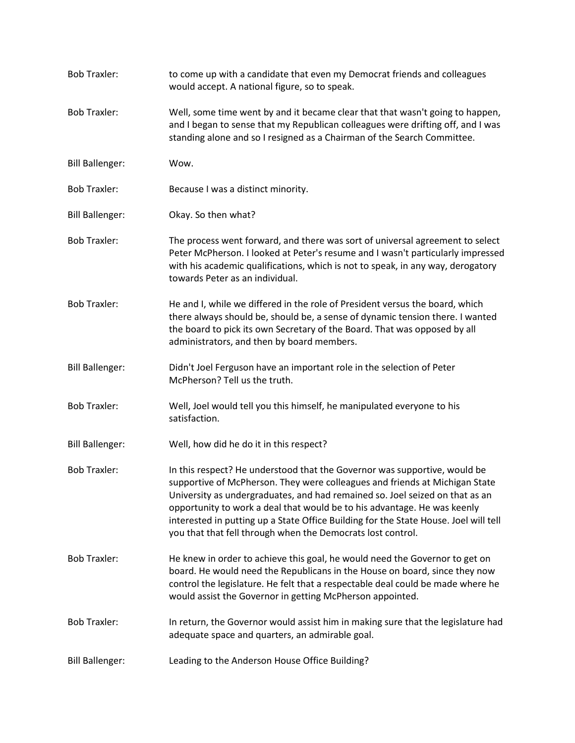| <b>Bob Traxler:</b>    | to come up with a candidate that even my Democrat friends and colleagues<br>would accept. A national figure, so to speak.                                                                                                                                                                                                                                                                                                                                                   |
|------------------------|-----------------------------------------------------------------------------------------------------------------------------------------------------------------------------------------------------------------------------------------------------------------------------------------------------------------------------------------------------------------------------------------------------------------------------------------------------------------------------|
| <b>Bob Traxler:</b>    | Well, some time went by and it became clear that that wasn't going to happen,<br>and I began to sense that my Republican colleagues were drifting off, and I was<br>standing alone and so I resigned as a Chairman of the Search Committee.                                                                                                                                                                                                                                 |
| <b>Bill Ballenger:</b> | Wow.                                                                                                                                                                                                                                                                                                                                                                                                                                                                        |
| <b>Bob Traxler:</b>    | Because I was a distinct minority.                                                                                                                                                                                                                                                                                                                                                                                                                                          |
| <b>Bill Ballenger:</b> | Okay. So then what?                                                                                                                                                                                                                                                                                                                                                                                                                                                         |
| <b>Bob Traxler:</b>    | The process went forward, and there was sort of universal agreement to select<br>Peter McPherson. I looked at Peter's resume and I wasn't particularly impressed<br>with his academic qualifications, which is not to speak, in any way, derogatory<br>towards Peter as an individual.                                                                                                                                                                                      |
| <b>Bob Traxler:</b>    | He and I, while we differed in the role of President versus the board, which<br>there always should be, should be, a sense of dynamic tension there. I wanted<br>the board to pick its own Secretary of the Board. That was opposed by all<br>administrators, and then by board members.                                                                                                                                                                                    |
| <b>Bill Ballenger:</b> | Didn't Joel Ferguson have an important role in the selection of Peter<br>McPherson? Tell us the truth.                                                                                                                                                                                                                                                                                                                                                                      |
| <b>Bob Traxler:</b>    | Well, Joel would tell you this himself, he manipulated everyone to his<br>satisfaction.                                                                                                                                                                                                                                                                                                                                                                                     |
| <b>Bill Ballenger:</b> | Well, how did he do it in this respect?                                                                                                                                                                                                                                                                                                                                                                                                                                     |
| <b>Bob Traxler:</b>    | In this respect? He understood that the Governor was supportive, would be<br>supportive of McPherson. They were colleagues and friends at Michigan State<br>University as undergraduates, and had remained so. Joel seized on that as an<br>opportunity to work a deal that would be to his advantage. He was keenly<br>interested in putting up a State Office Building for the State House. Joel will tell<br>you that that fell through when the Democrats lost control. |
| <b>Bob Traxler:</b>    | He knew in order to achieve this goal, he would need the Governor to get on<br>board. He would need the Republicans in the House on board, since they now<br>control the legislature. He felt that a respectable deal could be made where he<br>would assist the Governor in getting McPherson appointed.                                                                                                                                                                   |
| <b>Bob Traxler:</b>    | In return, the Governor would assist him in making sure that the legislature had<br>adequate space and quarters, an admirable goal.                                                                                                                                                                                                                                                                                                                                         |
| <b>Bill Ballenger:</b> | Leading to the Anderson House Office Building?                                                                                                                                                                                                                                                                                                                                                                                                                              |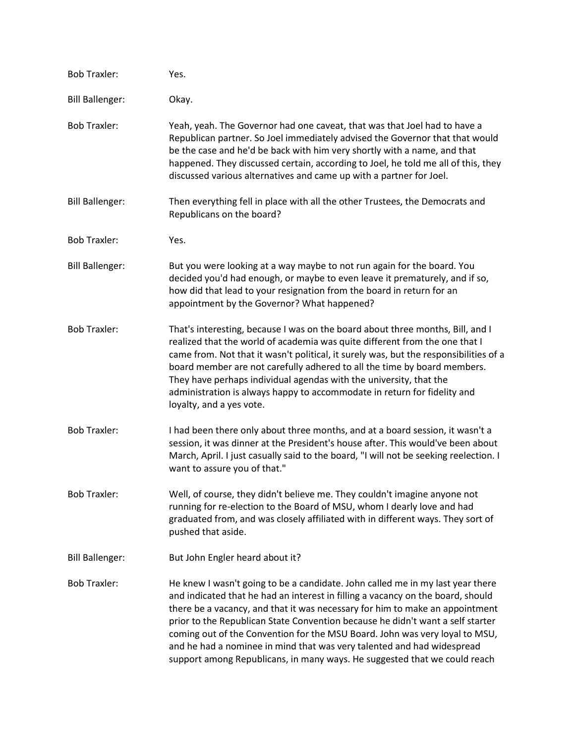| <b>Bob Traxler:</b>    | Yes.                                                                                                                                                                                                                                                                                                                                                                                                                                                                                                                                                                      |
|------------------------|---------------------------------------------------------------------------------------------------------------------------------------------------------------------------------------------------------------------------------------------------------------------------------------------------------------------------------------------------------------------------------------------------------------------------------------------------------------------------------------------------------------------------------------------------------------------------|
| <b>Bill Ballenger:</b> | Okay.                                                                                                                                                                                                                                                                                                                                                                                                                                                                                                                                                                     |
| <b>Bob Traxler:</b>    | Yeah, yeah. The Governor had one caveat, that was that Joel had to have a<br>Republican partner. So Joel immediately advised the Governor that that would<br>be the case and he'd be back with him very shortly with a name, and that<br>happened. They discussed certain, according to Joel, he told me all of this, they<br>discussed various alternatives and came up with a partner for Joel.                                                                                                                                                                         |
| <b>Bill Ballenger:</b> | Then everything fell in place with all the other Trustees, the Democrats and<br>Republicans on the board?                                                                                                                                                                                                                                                                                                                                                                                                                                                                 |
| <b>Bob Traxler:</b>    | Yes.                                                                                                                                                                                                                                                                                                                                                                                                                                                                                                                                                                      |
| <b>Bill Ballenger:</b> | But you were looking at a way maybe to not run again for the board. You<br>decided you'd had enough, or maybe to even leave it prematurely, and if so,<br>how did that lead to your resignation from the board in return for an<br>appointment by the Governor? What happened?                                                                                                                                                                                                                                                                                            |
| <b>Bob Traxler:</b>    | That's interesting, because I was on the board about three months, Bill, and I<br>realized that the world of academia was quite different from the one that I<br>came from. Not that it wasn't political, it surely was, but the responsibilities of a<br>board member are not carefully adhered to all the time by board members.<br>They have perhaps individual agendas with the university, that the<br>administration is always happy to accommodate in return for fidelity and<br>loyalty, and a yes vote.                                                          |
| <b>Bob Traxler:</b>    | I had been there only about three months, and at a board session, it wasn't a<br>session, it was dinner at the President's house after. This would've been about<br>March, April. I just casually said to the board, "I will not be seeking reelection. I<br>want to assure you of that."                                                                                                                                                                                                                                                                                 |
| <b>Bob Traxler:</b>    | Well, of course, they didn't believe me. They couldn't imagine anyone not<br>running for re-election to the Board of MSU, whom I dearly love and had<br>graduated from, and was closely affiliated with in different ways. They sort of<br>pushed that aside.                                                                                                                                                                                                                                                                                                             |
| <b>Bill Ballenger:</b> | But John Engler heard about it?                                                                                                                                                                                                                                                                                                                                                                                                                                                                                                                                           |
| <b>Bob Traxler:</b>    | He knew I wasn't going to be a candidate. John called me in my last year there<br>and indicated that he had an interest in filling a vacancy on the board, should<br>there be a vacancy, and that it was necessary for him to make an appointment<br>prior to the Republican State Convention because he didn't want a self starter<br>coming out of the Convention for the MSU Board. John was very loyal to MSU,<br>and he had a nominee in mind that was very talented and had widespread<br>support among Republicans, in many ways. He suggested that we could reach |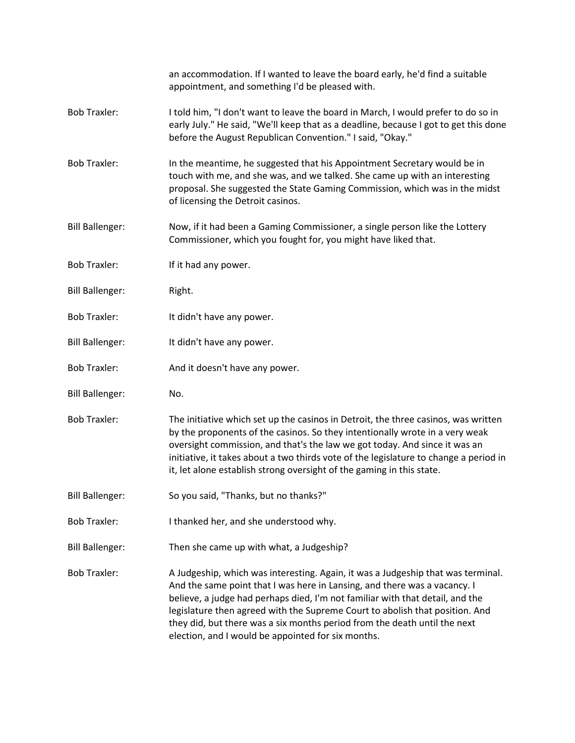|                        | an accommodation. If I wanted to leave the board early, he'd find a suitable<br>appointment, and something I'd be pleased with.                                                                                                                                                                                                                                                                                                                                   |
|------------------------|-------------------------------------------------------------------------------------------------------------------------------------------------------------------------------------------------------------------------------------------------------------------------------------------------------------------------------------------------------------------------------------------------------------------------------------------------------------------|
| <b>Bob Traxler:</b>    | I told him, "I don't want to leave the board in March, I would prefer to do so in<br>early July." He said, "We'll keep that as a deadline, because I got to get this done<br>before the August Republican Convention." I said, "Okay."                                                                                                                                                                                                                            |
| <b>Bob Traxler:</b>    | In the meantime, he suggested that his Appointment Secretary would be in<br>touch with me, and she was, and we talked. She came up with an interesting<br>proposal. She suggested the State Gaming Commission, which was in the midst<br>of licensing the Detroit casinos.                                                                                                                                                                                        |
| <b>Bill Ballenger:</b> | Now, if it had been a Gaming Commissioner, a single person like the Lottery<br>Commissioner, which you fought for, you might have liked that.                                                                                                                                                                                                                                                                                                                     |
| <b>Bob Traxler:</b>    | If it had any power.                                                                                                                                                                                                                                                                                                                                                                                                                                              |
| <b>Bill Ballenger:</b> | Right.                                                                                                                                                                                                                                                                                                                                                                                                                                                            |
| <b>Bob Traxler:</b>    | It didn't have any power.                                                                                                                                                                                                                                                                                                                                                                                                                                         |
| <b>Bill Ballenger:</b> | It didn't have any power.                                                                                                                                                                                                                                                                                                                                                                                                                                         |
| <b>Bob Traxler:</b>    | And it doesn't have any power.                                                                                                                                                                                                                                                                                                                                                                                                                                    |
| <b>Bill Ballenger:</b> | No.                                                                                                                                                                                                                                                                                                                                                                                                                                                               |
| <b>Bob Traxler:</b>    | The initiative which set up the casinos in Detroit, the three casinos, was written<br>by the proponents of the casinos. So they intentionally wrote in a very weak<br>oversight commission, and that's the law we got today. And since it was an<br>initiative, it takes about a two thirds vote of the legislature to change a period in<br>it, let alone establish strong oversight of the gaming in this state.                                                |
| <b>Bill Ballenger:</b> | So you said, "Thanks, but no thanks?"                                                                                                                                                                                                                                                                                                                                                                                                                             |
| <b>Bob Traxler:</b>    | I thanked her, and she understood why.                                                                                                                                                                                                                                                                                                                                                                                                                            |
| <b>Bill Ballenger:</b> | Then she came up with what, a Judgeship?                                                                                                                                                                                                                                                                                                                                                                                                                          |
| <b>Bob Traxler:</b>    | A Judgeship, which was interesting. Again, it was a Judgeship that was terminal.<br>And the same point that I was here in Lansing, and there was a vacancy. I<br>believe, a judge had perhaps died, I'm not familiar with that detail, and the<br>legislature then agreed with the Supreme Court to abolish that position. And<br>they did, but there was a six months period from the death until the next<br>election, and I would be appointed for six months. |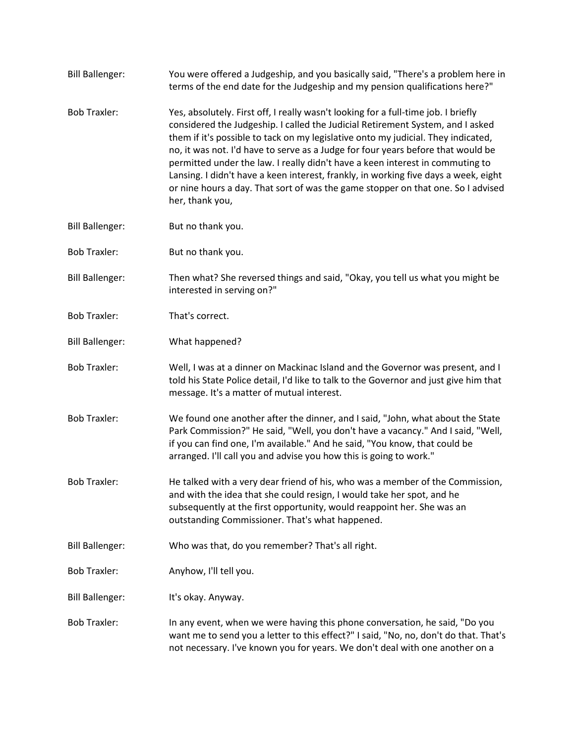| <b>Bill Ballenger:</b> | You were offered a Judgeship, and you basically said, "There's a problem here in<br>terms of the end date for the Judgeship and my pension qualifications here?"                                                                                                                                                                                                                                                                                                                                                                                                                                                             |
|------------------------|------------------------------------------------------------------------------------------------------------------------------------------------------------------------------------------------------------------------------------------------------------------------------------------------------------------------------------------------------------------------------------------------------------------------------------------------------------------------------------------------------------------------------------------------------------------------------------------------------------------------------|
| <b>Bob Traxler:</b>    | Yes, absolutely. First off, I really wasn't looking for a full-time job. I briefly<br>considered the Judgeship. I called the Judicial Retirement System, and I asked<br>them if it's possible to tack on my legislative onto my judicial. They indicated,<br>no, it was not. I'd have to serve as a Judge for four years before that would be<br>permitted under the law. I really didn't have a keen interest in commuting to<br>Lansing. I didn't have a keen interest, frankly, in working five days a week, eight<br>or nine hours a day. That sort of was the game stopper on that one. So I advised<br>her, thank you, |
| <b>Bill Ballenger:</b> | But no thank you.                                                                                                                                                                                                                                                                                                                                                                                                                                                                                                                                                                                                            |
| <b>Bob Traxler:</b>    | But no thank you.                                                                                                                                                                                                                                                                                                                                                                                                                                                                                                                                                                                                            |
| <b>Bill Ballenger:</b> | Then what? She reversed things and said, "Okay, you tell us what you might be<br>interested in serving on?"                                                                                                                                                                                                                                                                                                                                                                                                                                                                                                                  |
| <b>Bob Traxler:</b>    | That's correct.                                                                                                                                                                                                                                                                                                                                                                                                                                                                                                                                                                                                              |
| <b>Bill Ballenger:</b> | What happened?                                                                                                                                                                                                                                                                                                                                                                                                                                                                                                                                                                                                               |
| <b>Bob Traxler:</b>    | Well, I was at a dinner on Mackinac Island and the Governor was present, and I<br>told his State Police detail, I'd like to talk to the Governor and just give him that<br>message. It's a matter of mutual interest.                                                                                                                                                                                                                                                                                                                                                                                                        |
| <b>Bob Traxler:</b>    | We found one another after the dinner, and I said, "John, what about the State<br>Park Commission?" He said, "Well, you don't have a vacancy." And I said, "Well,<br>if you can find one, I'm available." And he said, "You know, that could be<br>arranged. I'll call you and advise you how this is going to work."                                                                                                                                                                                                                                                                                                        |
| <b>Bob Traxler:</b>    | He talked with a very dear friend of his, who was a member of the Commission,<br>and with the idea that she could resign, I would take her spot, and he<br>subsequently at the first opportunity, would reappoint her. She was an<br>outstanding Commissioner. That's what happened.                                                                                                                                                                                                                                                                                                                                         |
| <b>Bill Ballenger:</b> | Who was that, do you remember? That's all right.                                                                                                                                                                                                                                                                                                                                                                                                                                                                                                                                                                             |
| <b>Bob Traxler:</b>    | Anyhow, I'll tell you.                                                                                                                                                                                                                                                                                                                                                                                                                                                                                                                                                                                                       |
| <b>Bill Ballenger:</b> | It's okay. Anyway.                                                                                                                                                                                                                                                                                                                                                                                                                                                                                                                                                                                                           |
| <b>Bob Traxler:</b>    | In any event, when we were having this phone conversation, he said, "Do you<br>want me to send you a letter to this effect?" I said, "No, no, don't do that. That's<br>not necessary. I've known you for years. We don't deal with one another on a                                                                                                                                                                                                                                                                                                                                                                          |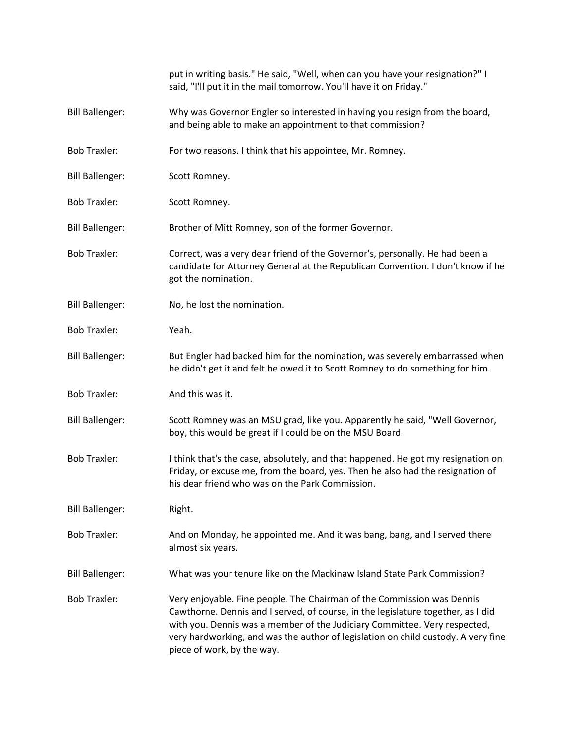|                        | put in writing basis." He said, "Well, when can you have your resignation?" I<br>said, "I'll put it in the mail tomorrow. You'll have it on Friday."                                                                                                                                                                                                       |
|------------------------|------------------------------------------------------------------------------------------------------------------------------------------------------------------------------------------------------------------------------------------------------------------------------------------------------------------------------------------------------------|
| <b>Bill Ballenger:</b> | Why was Governor Engler so interested in having you resign from the board,<br>and being able to make an appointment to that commission?                                                                                                                                                                                                                    |
| <b>Bob Traxler:</b>    | For two reasons. I think that his appointee, Mr. Romney.                                                                                                                                                                                                                                                                                                   |
| <b>Bill Ballenger:</b> | Scott Romney.                                                                                                                                                                                                                                                                                                                                              |
| <b>Bob Traxler:</b>    | Scott Romney.                                                                                                                                                                                                                                                                                                                                              |
| <b>Bill Ballenger:</b> | Brother of Mitt Romney, son of the former Governor.                                                                                                                                                                                                                                                                                                        |
| <b>Bob Traxler:</b>    | Correct, was a very dear friend of the Governor's, personally. He had been a<br>candidate for Attorney General at the Republican Convention. I don't know if he<br>got the nomination.                                                                                                                                                                     |
| <b>Bill Ballenger:</b> | No, he lost the nomination.                                                                                                                                                                                                                                                                                                                                |
| <b>Bob Traxler:</b>    | Yeah.                                                                                                                                                                                                                                                                                                                                                      |
| <b>Bill Ballenger:</b> | But Engler had backed him for the nomination, was severely embarrassed when<br>he didn't get it and felt he owed it to Scott Romney to do something for him.                                                                                                                                                                                               |
| <b>Bob Traxler:</b>    | And this was it.                                                                                                                                                                                                                                                                                                                                           |
| <b>Bill Ballenger:</b> | Scott Romney was an MSU grad, like you. Apparently he said, "Well Governor,<br>boy, this would be great if I could be on the MSU Board.                                                                                                                                                                                                                    |
| <b>Bob Traxler:</b>    | I think that's the case, absolutely, and that happened. He got my resignation on<br>Friday, or excuse me, from the board, yes. Then he also had the resignation of<br>his dear friend who was on the Park Commission.                                                                                                                                      |
| <b>Bill Ballenger:</b> | Right.                                                                                                                                                                                                                                                                                                                                                     |
| <b>Bob Traxler:</b>    | And on Monday, he appointed me. And it was bang, bang, and I served there<br>almost six years.                                                                                                                                                                                                                                                             |
| <b>Bill Ballenger:</b> | What was your tenure like on the Mackinaw Island State Park Commission?                                                                                                                                                                                                                                                                                    |
| <b>Bob Traxler:</b>    | Very enjoyable. Fine people. The Chairman of the Commission was Dennis<br>Cawthorne. Dennis and I served, of course, in the legislature together, as I did<br>with you. Dennis was a member of the Judiciary Committee. Very respected,<br>very hardworking, and was the author of legislation on child custody. A very fine<br>piece of work, by the way. |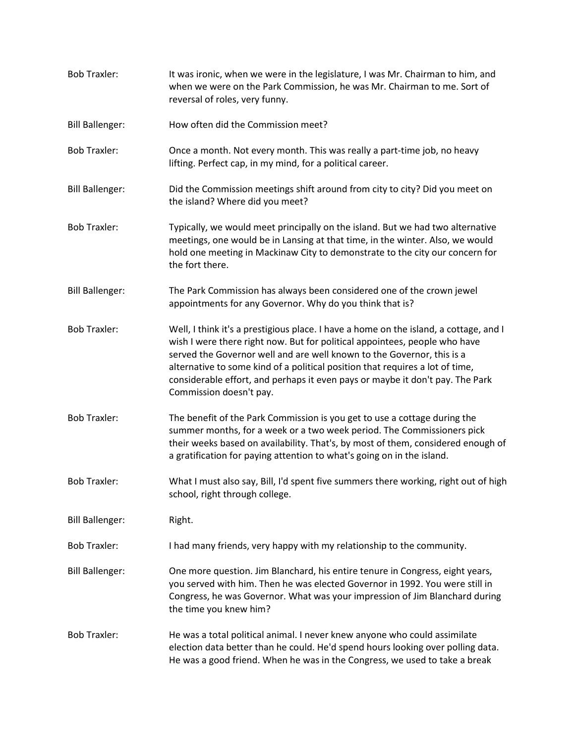| <b>Bob Traxler:</b>    | It was ironic, when we were in the legislature, I was Mr. Chairman to him, and<br>when we were on the Park Commission, he was Mr. Chairman to me. Sort of<br>reversal of roles, very funny.                                                                                                                                                                                                                                                |
|------------------------|--------------------------------------------------------------------------------------------------------------------------------------------------------------------------------------------------------------------------------------------------------------------------------------------------------------------------------------------------------------------------------------------------------------------------------------------|
| <b>Bill Ballenger:</b> | How often did the Commission meet?                                                                                                                                                                                                                                                                                                                                                                                                         |
| <b>Bob Traxler:</b>    | Once a month. Not every month. This was really a part-time job, no heavy<br>lifting. Perfect cap, in my mind, for a political career.                                                                                                                                                                                                                                                                                                      |
| <b>Bill Ballenger:</b> | Did the Commission meetings shift around from city to city? Did you meet on<br>the island? Where did you meet?                                                                                                                                                                                                                                                                                                                             |
| <b>Bob Traxler:</b>    | Typically, we would meet principally on the island. But we had two alternative<br>meetings, one would be in Lansing at that time, in the winter. Also, we would<br>hold one meeting in Mackinaw City to demonstrate to the city our concern for<br>the fort there.                                                                                                                                                                         |
| <b>Bill Ballenger:</b> | The Park Commission has always been considered one of the crown jewel<br>appointments for any Governor. Why do you think that is?                                                                                                                                                                                                                                                                                                          |
| <b>Bob Traxler:</b>    | Well, I think it's a prestigious place. I have a home on the island, a cottage, and I<br>wish I were there right now. But for political appointees, people who have<br>served the Governor well and are well known to the Governor, this is a<br>alternative to some kind of a political position that requires a lot of time,<br>considerable effort, and perhaps it even pays or maybe it don't pay. The Park<br>Commission doesn't pay. |
| <b>Bob Traxler:</b>    | The benefit of the Park Commission is you get to use a cottage during the<br>summer months, for a week or a two week period. The Commissioners pick<br>their weeks based on availability. That's, by most of them, considered enough of<br>a gratification for paying attention to what's going on in the island.                                                                                                                          |
| <b>Bob Traxler:</b>    | What I must also say, Bill, I'd spent five summers there working, right out of high<br>school, right through college.                                                                                                                                                                                                                                                                                                                      |
| <b>Bill Ballenger:</b> | Right.                                                                                                                                                                                                                                                                                                                                                                                                                                     |
| <b>Bob Traxler:</b>    | I had many friends, very happy with my relationship to the community.                                                                                                                                                                                                                                                                                                                                                                      |
| <b>Bill Ballenger:</b> | One more question. Jim Blanchard, his entire tenure in Congress, eight years,<br>you served with him. Then he was elected Governor in 1992. You were still in<br>Congress, he was Governor. What was your impression of Jim Blanchard during<br>the time you knew him?                                                                                                                                                                     |
| <b>Bob Traxler:</b>    | He was a total political animal. I never knew anyone who could assimilate<br>election data better than he could. He'd spend hours looking over polling data.<br>He was a good friend. When he was in the Congress, we used to take a break                                                                                                                                                                                                 |